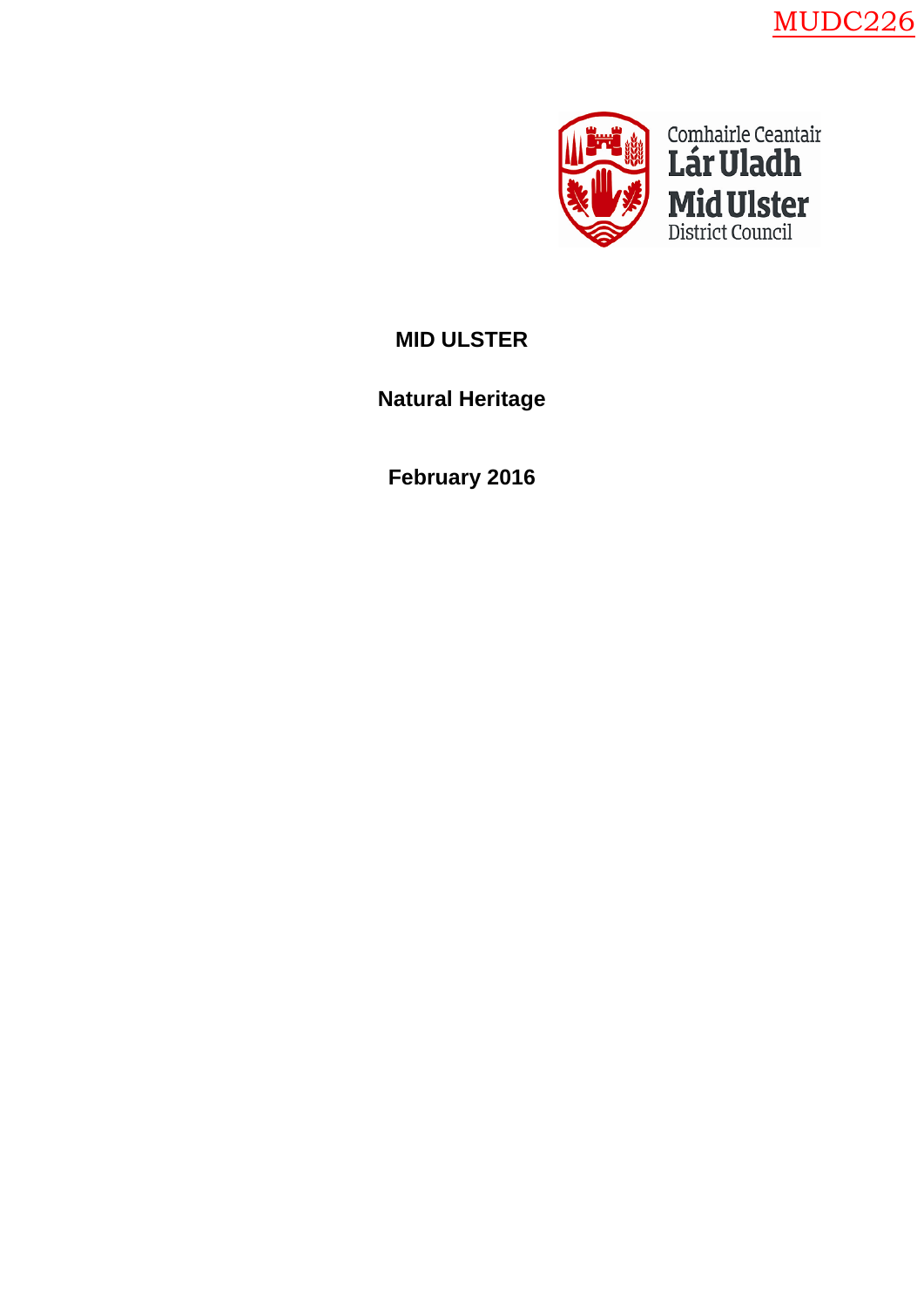



# **MID ULSTER**

# **Natural Heritage**

**February 2016**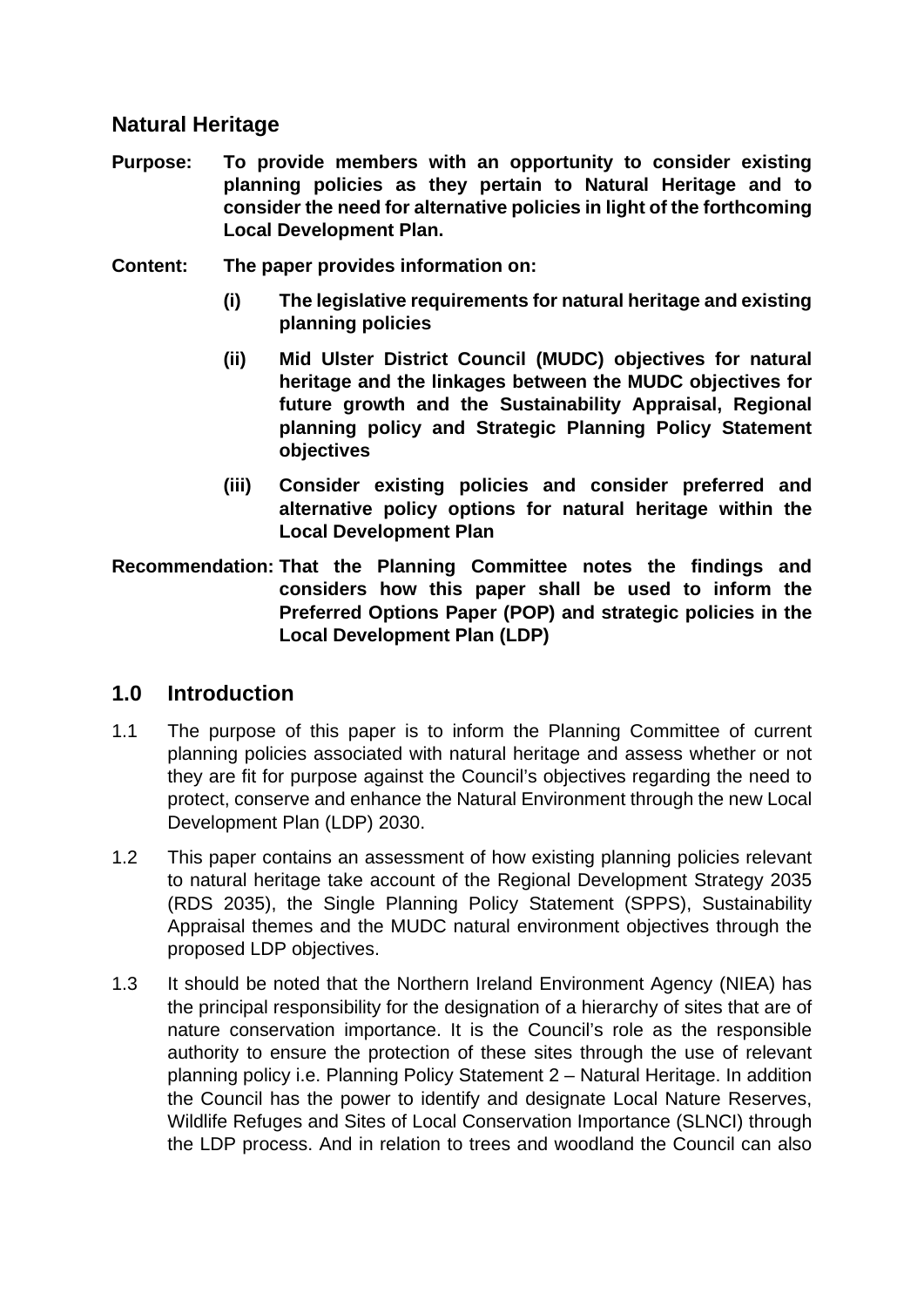### **Natural Heritage**

- **Purpose: To provide members with an opportunity to consider existing planning policies as they pertain to Natural Heritage and to consider the need for alternative policies in light of the forthcoming Local Development Plan.**
- **Content: The paper provides information on:**
	- **(i) The legislative requirements for natural heritage and existing planning policies**
	- **(ii) Mid Ulster District Council (MUDC) objectives for natural heritage and the linkages between the MUDC objectives for future growth and the Sustainability Appraisal, Regional planning policy and Strategic Planning Policy Statement objectives**
	- **(iii) Consider existing policies and consider preferred and alternative policy options for natural heritage within the Local Development Plan**
- **Recommendation: That the Planning Committee notes the findings and considers how this paper shall be used to inform the Preferred Options Paper (POP) and strategic policies in the Local Development Plan (LDP)**

### **1.0 Introduction**

- 1.1 The purpose of this paper is to inform the Planning Committee of current planning policies associated with natural heritage and assess whether or not they are fit for purpose against the Council's objectives regarding the need to protect, conserve and enhance the Natural Environment through the new Local Development Plan (LDP) 2030.
- 1.2 This paper contains an assessment of how existing planning policies relevant to natural heritage take account of the Regional Development Strategy 2035 (RDS 2035), the Single Planning Policy Statement (SPPS), Sustainability Appraisal themes and the MUDC natural environment objectives through the proposed LDP objectives.
- 1.3 It should be noted that the Northern Ireland Environment Agency (NIEA) has the principal responsibility for the designation of a hierarchy of sites that are of nature conservation importance. It is the Council's role as the responsible authority to ensure the protection of these sites through the use of relevant planning policy i.e. Planning Policy Statement 2 – Natural Heritage. In addition the Council has the power to identify and designate Local Nature Reserves, Wildlife Refuges and Sites of Local Conservation Importance (SLNCI) through the LDP process. And in relation to trees and woodland the Council can also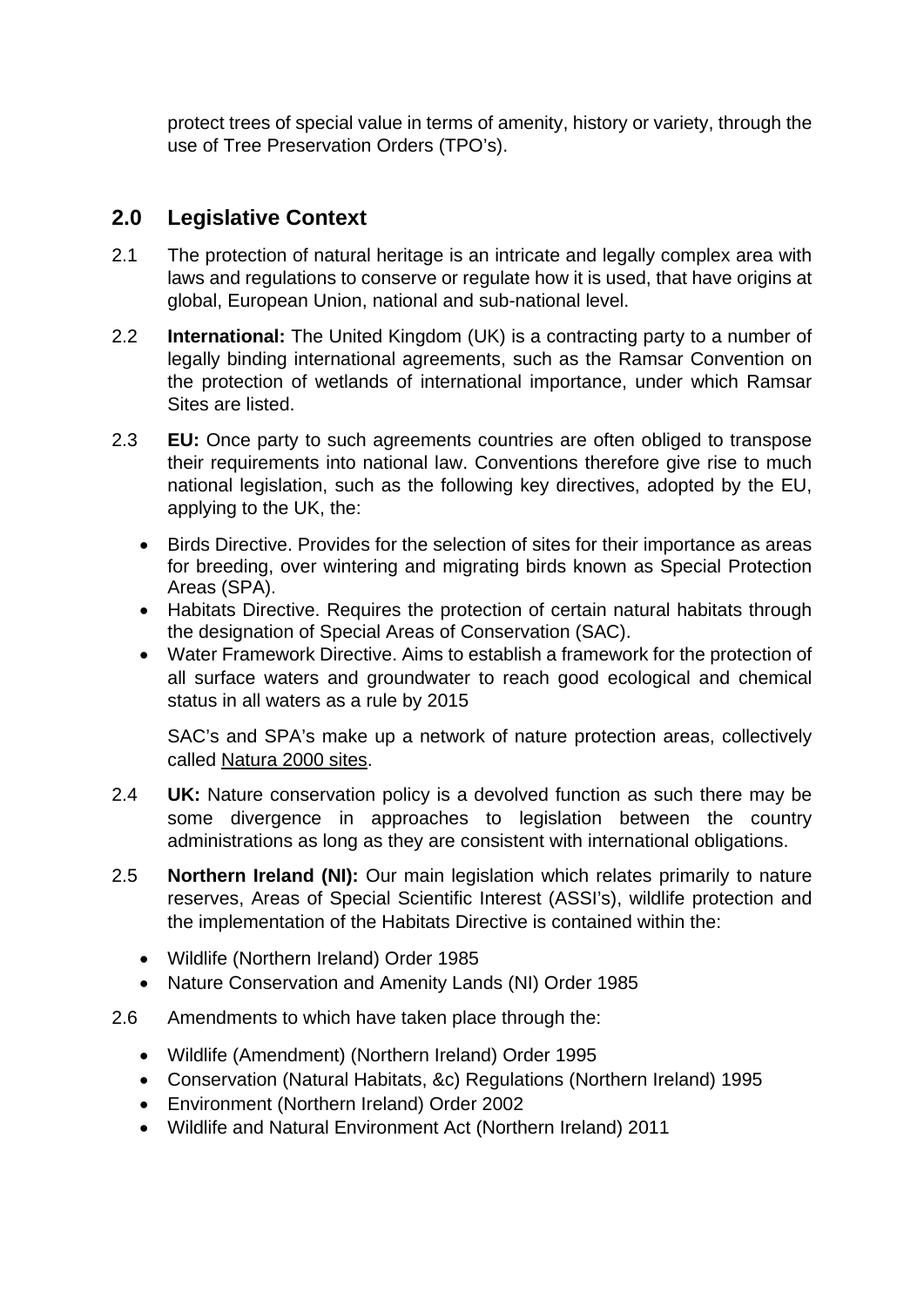protect trees of special value in terms of amenity, history or variety, through the use of Tree Preservation Orders (TPO's).

# **2.0 Legislative Context**

- 2.1 The protection of natural heritage is an intricate and legally complex area with laws and regulations to conserve or regulate how it is used, that have origins at global, European Union, national and sub-national level.
- 2.2 **International:** The United Kingdom (UK) is a contracting party to a number of legally binding international agreements, such as the Ramsar Convention on the protection of wetlands of international importance, under which Ramsar Sites are listed.
- 2.3 **EU:** Once party to such agreements countries are often obliged to transpose their requirements into national law. Conventions therefore give rise to much national legislation, such as the following key directives, adopted by the EU, applying to the UK, the:
	- [Birds Directive.](http://jncc.defra.gov.uk/page-1373) Provides for the selection of sites for their importance as areas for breeding, over wintering and migrating birds known as Special Protection Areas (SPA).
	- [Habitats Directive.](http://jncc.defra.gov.uk/page-1374) Requires the protection of certain natural habitats through the designation of Special Areas of Conservation (SAC).
	- Water Framework Directive. Aims to establish a framework for the protection of all surface waters and groundwater to reach good ecological and chemical status in all waters as a rule by 2015

SAC's and SPA's make up a network of [nature protection areas,](https://en.wikipedia.org/wiki/Protected_area) collectively called [Natura](http://ec.europa.eu/environment/nature/natura2000/index_en.htm) 2000 sites.

- 2.4 **UK:** Nature conservation policy is a devolved function as such there may be some divergence in approaches to legislation between the country administrations as long as they are consistent with international obligations.
- 2.5 **Northern Ireland (NI):** Our main legislation which relates primarily to nature reserves, Areas of Special Scientific Interest (ASSI's), wildlife protection and the implementation of the Habitats Directive is contained within the:
	- [Wildlife \(Northern Ireland\) Order 1985](http://www.legislation.gov.uk/nisi/1985/171/contents)
	- [Nature Conservation and Amenity Lands \(NI\) Order 1985](http://www.legislation.gov.uk/nisi/1985/170/contents)
- 2.6 Amendments to which have taken place through the:
	- [Wildlife \(Amendment\) \(Northern Ireland\) Order 1995](http://www.legislation.gov.uk/nisi/1995/761/contents)
	- [Conservation \(Natural Habitats, &c\) Regulations \(Northern Ireland\) 1995](http://www.opsi.gov.uk/sr/sr1995/Nisr_19950380_en_1.htm)
	- [Environment \(Northern Ireland\) Order 2002](http://www.legislation.gov.uk/nisi/2002/3153/contents)
	- [Wildlife and Natural Environment Act \(Northern Ireland\) 2011](http://www.legislation.gov.uk/nia/2011/15/contents/enacted)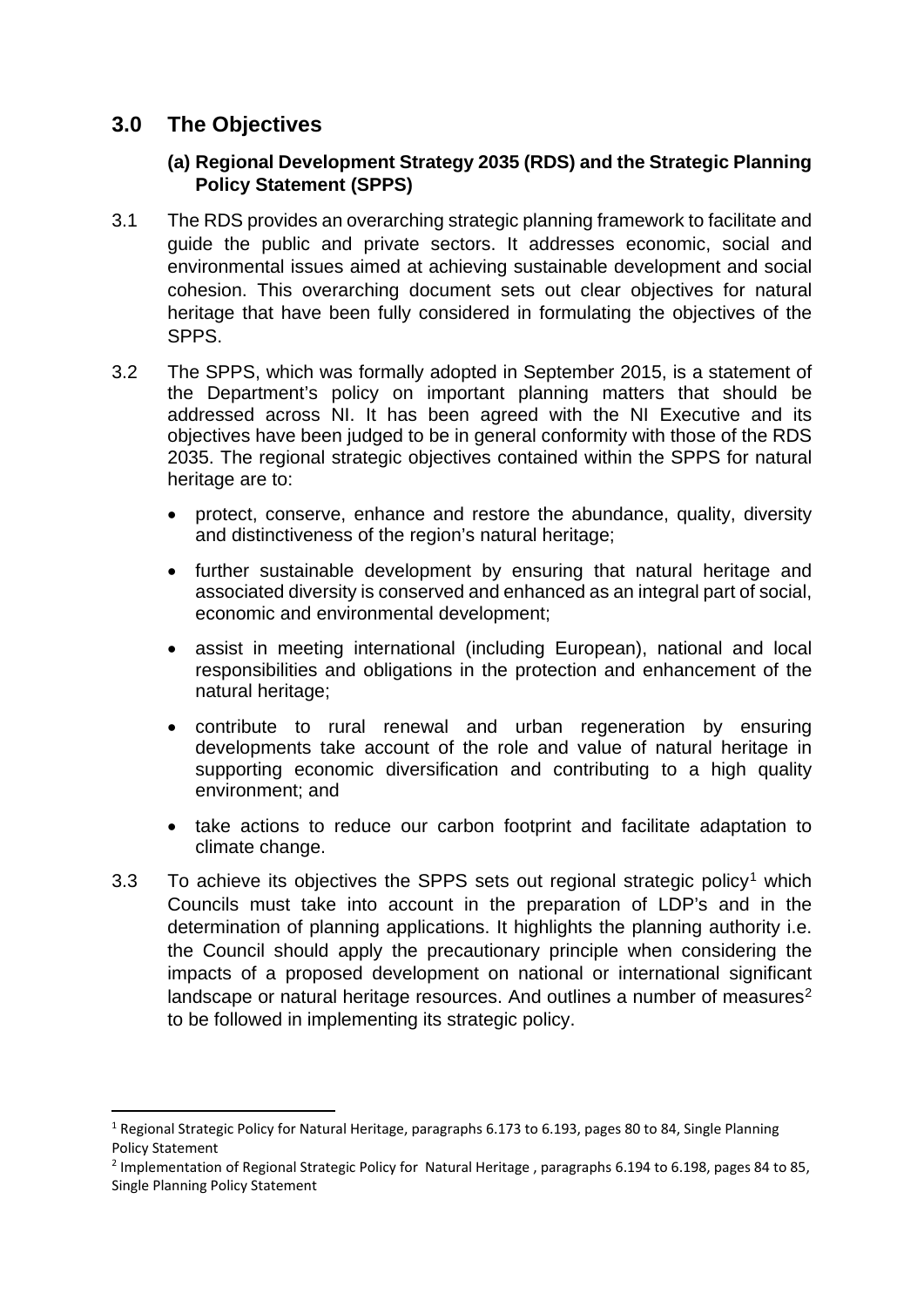# **3.0 The Objectives**

#### **(a) Regional Development Strategy 2035 (RDS) and the Strategic Planning Policy Statement (SPPS)**

- 3.1 The RDS provides an overarching strategic planning framework to facilitate and guide the public and private sectors. It addresses economic, social and environmental issues aimed at achieving sustainable development and social cohesion. This overarching document sets out clear objectives for natural heritage that have been fully considered in formulating the objectives of the SPPS.
- 3.2 The SPPS, which was formally adopted in September 2015, is a statement of the Department's policy on important planning matters that should be addressed across NI. It has been agreed with the NI Executive and its objectives have been judged to be in general conformity with those of the RDS 2035. The regional strategic objectives contained within the SPPS for natural heritage are to:
	- protect, conserve, enhance and restore the abundance, quality, diversity and distinctiveness of the region's natural heritage;
	- further sustainable development by ensuring that natural heritage and associated diversity is conserved and enhanced as an integral part of social, economic and environmental development;
	- assist in meeting international (including European), national and local responsibilities and obligations in the protection and enhancement of the natural heritage;
	- contribute to rural renewal and urban regeneration by ensuring developments take account of the role and value of natural heritage in supporting economic diversification and contributing to a high quality environment; and
	- take actions to reduce our carbon footprint and facilitate adaptation to climate change.
- 3.3 To achieve its objectives the SPPS sets out regional strategic policy<sup>[1](#page-3-0)</sup> which Councils must take into account in the preparation of LDP's and in the determination of planning applications. It highlights the planning authority i.e. the Council should apply the precautionary principle when considering the impacts of a proposed development on national or international significant landscape or natural heritage resources. And outlines a number of measures<sup>[2](#page-3-1)</sup> to be followed in implementing its strategic policy.

<span id="page-3-0"></span> <sup>1</sup> Regional Strategic Policy for Natural Heritage, paragraphs 6.173 to 6.193, pages 80 to 84, Single Planning Policy Statement

<span id="page-3-1"></span><sup>2</sup> Implementation of Regional Strategic Policy for Natural Heritage , paragraphs 6.194 to 6.198, pages 84 to 85, Single Planning Policy Statement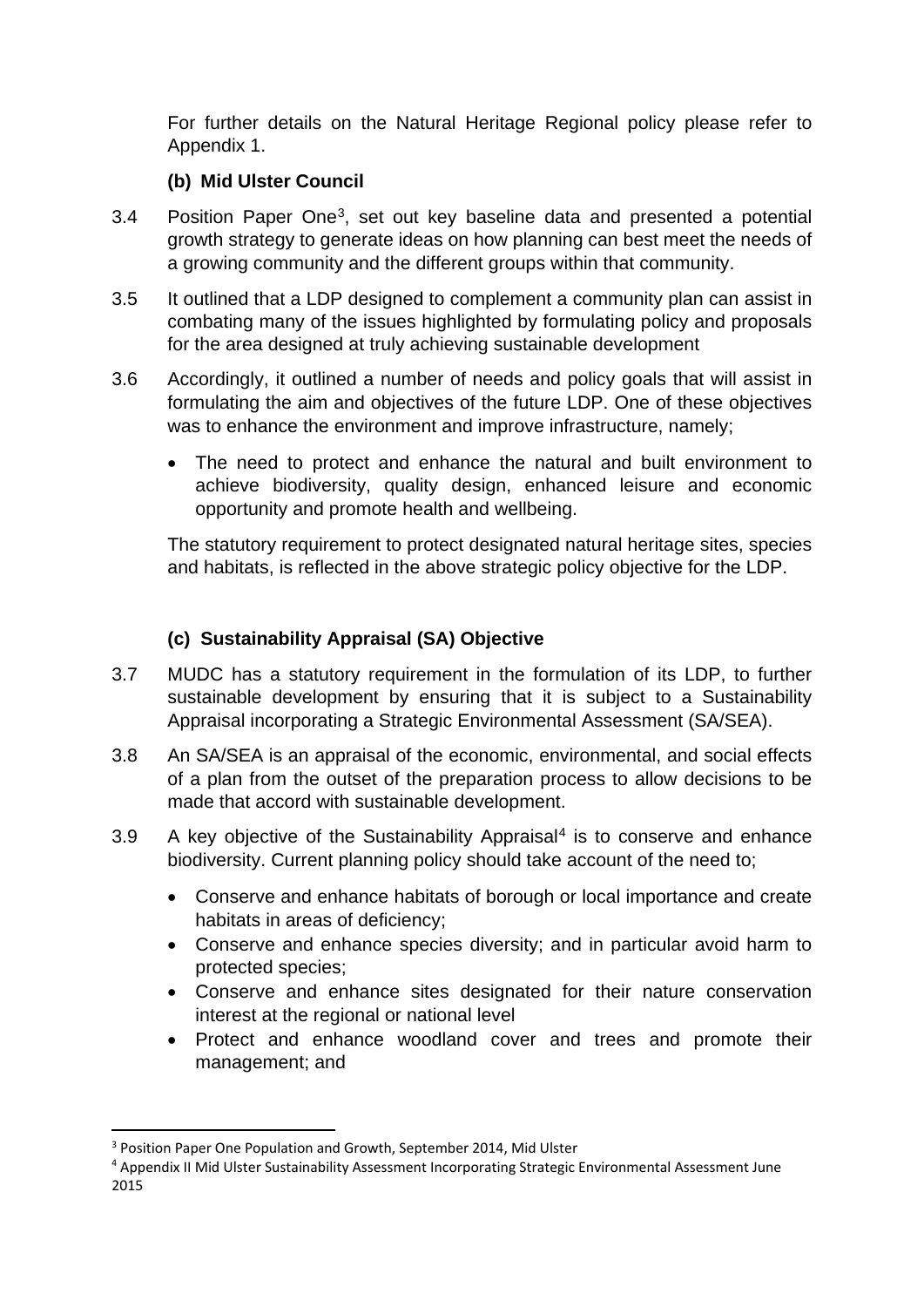For further details on the Natural Heritage Regional policy please refer to Appendix 1.

### **(b) Mid Ulster Council**

- 3.4 Position Paper One[3](#page-4-0), set out key baseline data and presented a potential growth strategy to generate ideas on how planning can best meet the needs of a growing community and the different groups within that community.
- 3.5 It outlined that a LDP designed to complement a community plan can assist in combating many of the issues highlighted by formulating policy and proposals for the area designed at truly achieving sustainable development
- 3.6 Accordingly, it outlined a number of needs and policy goals that will assist in formulating the aim and objectives of the future LDP. One of these objectives was to enhance the environment and improve infrastructure, namely;
	- The need to protect and enhance the natural and built environment to achieve biodiversity, quality design, enhanced leisure and economic opportunity and promote health and wellbeing.

The statutory requirement to protect designated natural heritage sites, species and habitats, is reflected in the above strategic policy objective for the LDP.

### **(c) Sustainability Appraisal (SA) Objective**

- 3.7 MUDC has a statutory requirement in the formulation of its LDP, to further sustainable development by ensuring that it is subject to a Sustainability Appraisal incorporating a Strategic Environmental Assessment (SA/SEA).
- 3.8 An SA/SEA is an appraisal of the economic, environmental, and social effects of a plan from the outset of the preparation process to allow decisions to be made that accord with [sustainable development.](https://en.wikipedia.org/wiki/Sustainable_development)
- 3.9 A key objective of the Sustainability Appraisal<sup>[4](#page-4-1)</sup> is to conserve and enhance biodiversity. Current planning policy should take account of the need to;
	- Conserve and enhance habitats of borough or local importance and create habitats in areas of deficiency;
	- Conserve and enhance species diversity; and in particular avoid harm to protected species;
	- Conserve and enhance sites designated for their nature conservation interest at the regional or national level
	- Protect and enhance woodland cover and trees and promote their management; and

<span id="page-4-0"></span><sup>&</sup>lt;sup>3</sup> Position Paper One Population and Growth, September 2014, Mid Ulster

<span id="page-4-1"></span><sup>4</sup> Appendix II Mid Ulster Sustainability Assessment Incorporating Strategic Environmental Assessment June 2015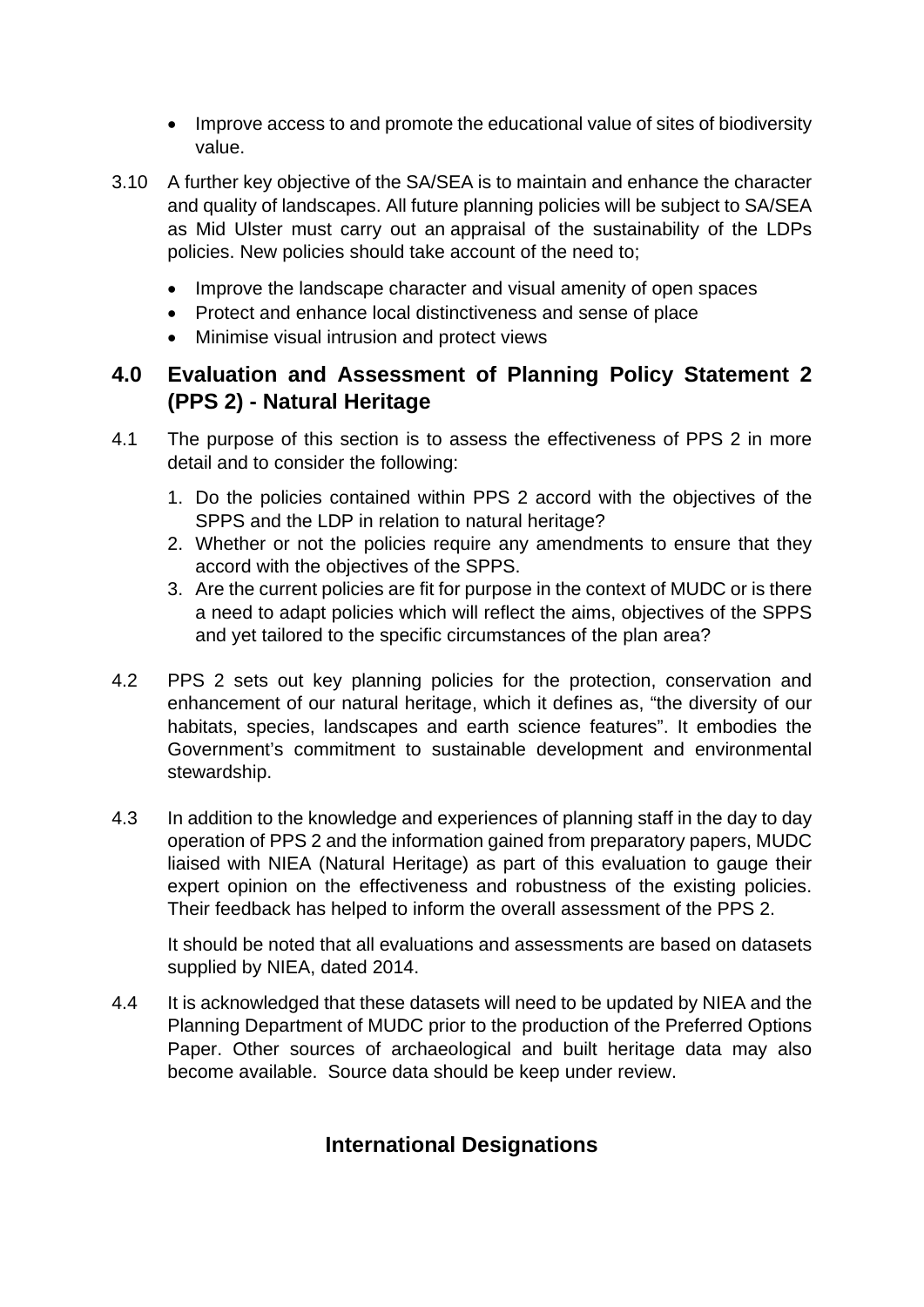- Improve access to and promote the educational value of sites of biodiversity value.
- 3.10 A further key objective of the SA/SEA is to maintain and enhance the character and quality of landscapes. All future planning policies will be subject to SA/SEA as Mid Ulster must carry out an appraisal of the sustainability of the LDPs policies. New policies should take account of the need to;
	- Improve the landscape character and visual amenity of open spaces
	- Protect and enhance local distinctiveness and sense of place
	- Minimise visual intrusion and protect views

# **4.0 Evaluation and Assessment of Planning Policy Statement 2 (PPS 2) - Natural Heritage**

- 4.1 The purpose of this section is to assess the effectiveness of PPS 2 in more detail and to consider the following:
	- 1. Do the policies contained within PPS 2 accord with the objectives of the SPPS and the LDP in relation to natural heritage?
	- 2. Whether or not the policies require any amendments to ensure that they accord with the objectives of the SPPS.
	- 3. Are the current policies are fit for purpose in the context of MUDC or is there a need to adapt policies which will reflect the aims, objectives of the SPPS and yet tailored to the specific circumstances of the plan area?
- 4.2 PPS 2 sets out key planning policies for the protection, conservation and enhancement of our natural heritage, which it defines as, "the diversity of our habitats, species, landscapes and earth science features". It embodies the Government's commitment to sustainable development and environmental stewardship.
- 4.3 In addition to the knowledge and experiences of planning staff in the day to day operation of PPS 2 and the information gained from preparatory papers, MUDC liaised with NIEA (Natural Heritage) as part of this evaluation to gauge their expert opinion on the effectiveness and robustness of the existing policies. Their feedback has helped to inform the overall assessment of the PPS 2.

It should be noted that all evaluations and assessments are based on datasets supplied by NIEA, dated 2014.

4.4 It is acknowledged that these datasets will need to be updated by NIEA and the Planning Department of MUDC prior to the production of the Preferred Options Paper. Other sources of archaeological and built heritage data may also become available. Source data should be keep under review.

# **International Designations**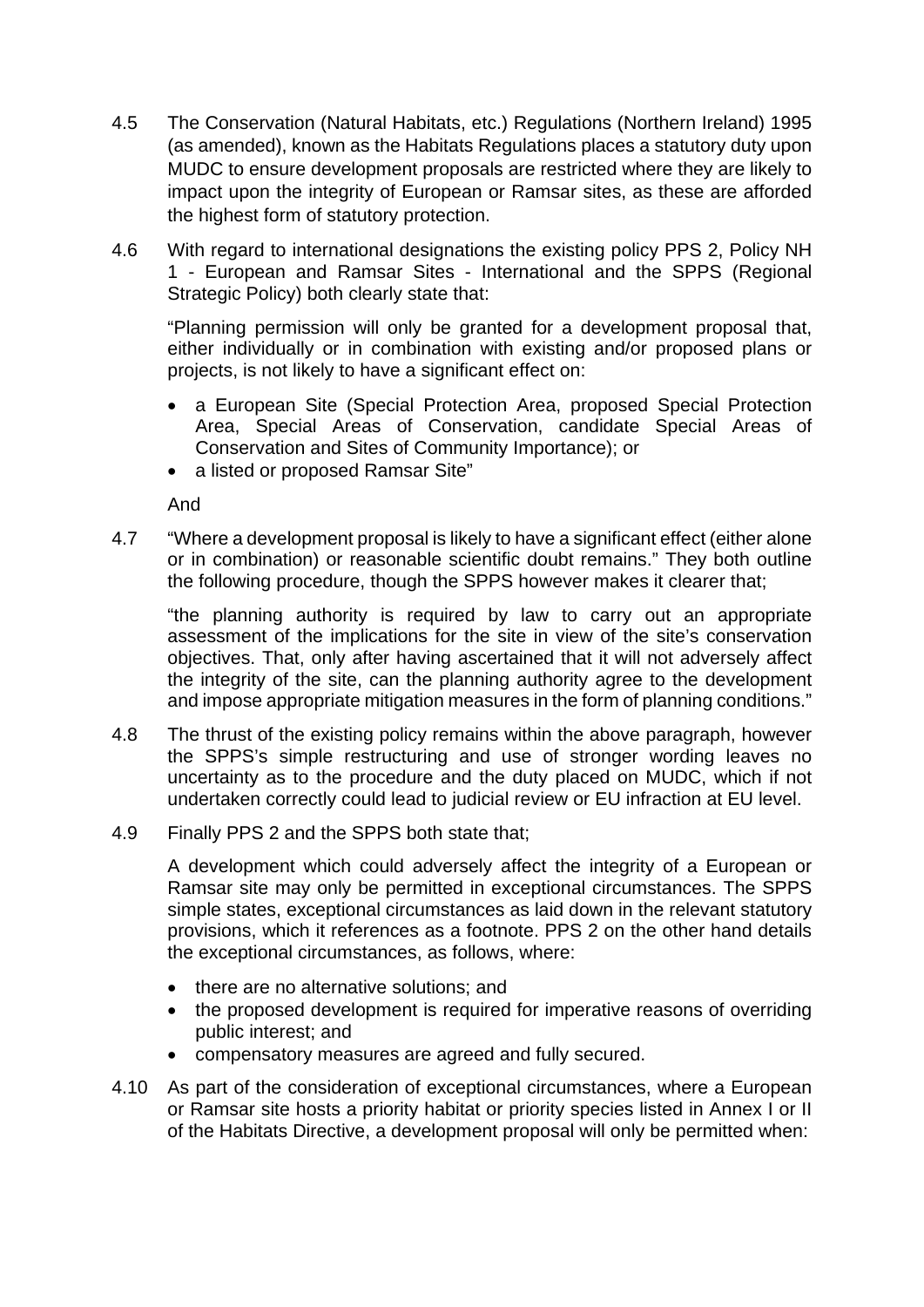- 4.5 The Conservation (Natural Habitats, etc.) Regulations (Northern Ireland) 1995 (as amended), known as the Habitats Regulations places a statutory duty upon MUDC to ensure development proposals are restricted where they are likely to impact upon the integrity of European or Ramsar sites, as these are afforded the highest form of statutory protection.
- 4.6 With regard to international designations the existing policy PPS 2, Policy NH 1 - European and Ramsar Sites - International and the SPPS (Regional Strategic Policy) both clearly state that:

"Planning permission will only be granted for a development proposal that, either individually or in combination with existing and/or proposed plans or projects, is not likely to have a significant effect on:

- a European Site (Special Protection Area, proposed Special Protection Area, Special Areas of Conservation, candidate Special Areas of Conservation and Sites of Community Importance); or
- a listed or proposed Ramsar Site"

And

4.7 "Where a development proposal is likely to have a significant effect (either alone or in combination) or reasonable scientific doubt remains." They both outline the following procedure, though the SPPS however makes it clearer that;

"the planning authority is required by law to carry out an appropriate assessment of the implications for the site in view of the site's conservation objectives. That, only after having ascertained that it will not adversely affect the integrity of the site, can the planning authority agree to the development and impose appropriate mitigation measures in the form of planning conditions."

- 4.8 The thrust of the existing policy remains within the above paragraph, however the SPPS's simple restructuring and use of stronger wording leaves no uncertainty as to the procedure and the duty placed on MUDC, which if not undertaken correctly could lead to judicial review or EU infraction at EU level.
- 4.9 Finally PPS 2 and the SPPS both state that;

A development which could adversely affect the integrity of a European or Ramsar site may only be permitted in exceptional circumstances. The SPPS simple states, exceptional circumstances as laid down in the relevant statutory provisions, which it references as a footnote. PPS 2 on the other hand details the exceptional circumstances, as follows, where:

- there are no alternative solutions; and
- the proposed development is required for imperative reasons of overriding public interest; and
- compensatory measures are agreed and fully secured.
- 4.10 As part of the consideration of exceptional circumstances, where a European or Ramsar site hosts a priority habitat or priority species listed in Annex I or II of the Habitats Directive, a development proposal will only be permitted when: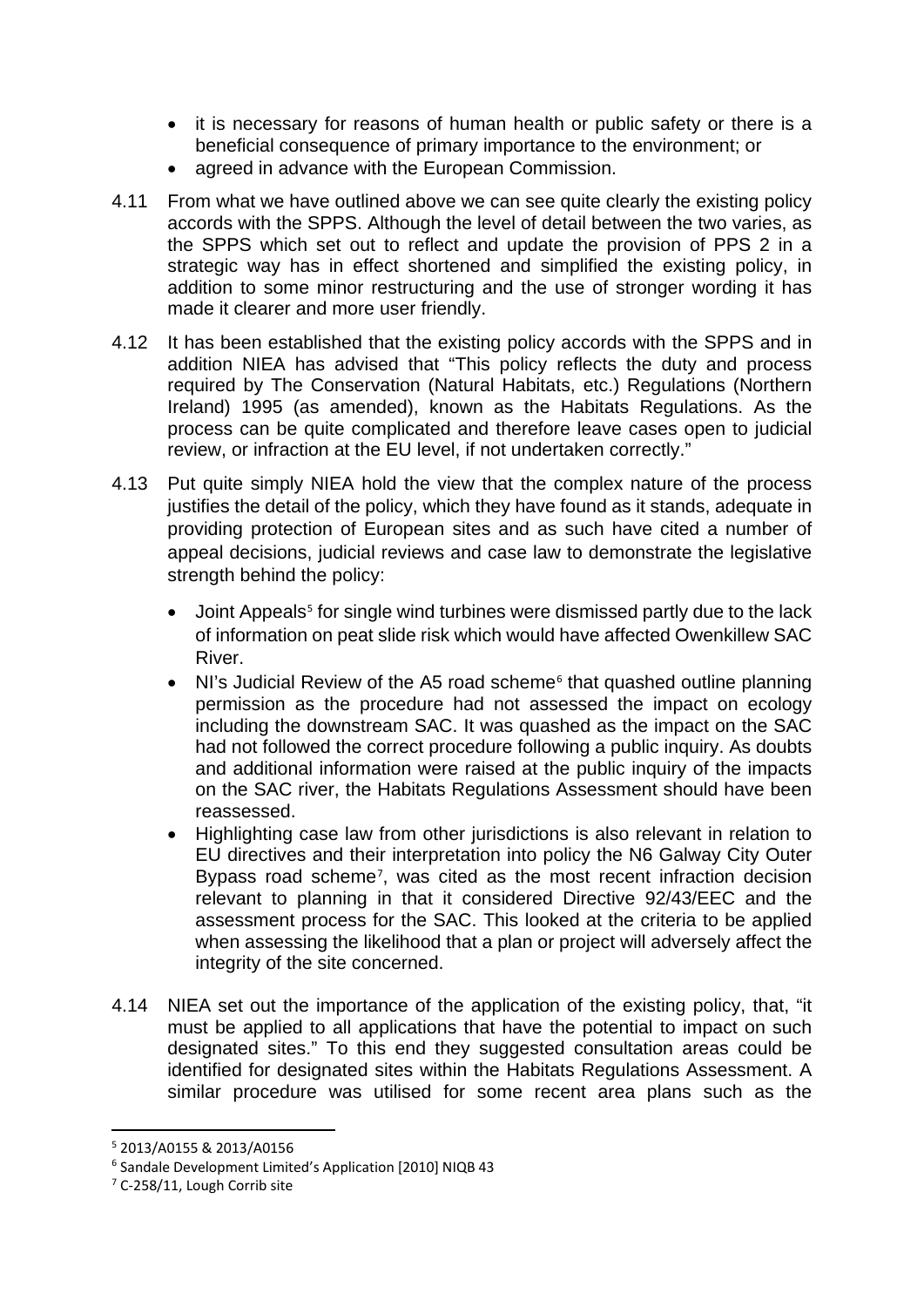- it is necessary for reasons of human health or public safety or there is a beneficial consequence of primary importance to the environment; or
- agreed in advance with the European Commission.
- 4.11 From what we have outlined above we can see quite clearly the existing policy accords with the SPPS. Although the level of detail between the two varies, as the SPPS which set out to reflect and update the provision of PPS 2 in a strategic way has in effect shortened and simplified the existing policy, in addition to some minor restructuring and the use of stronger wording it has made it clearer and more user friendly.
- 4.12 It has been established that the existing policy accords with the SPPS and in addition NIEA has advised that "This policy reflects the duty and process required by The Conservation (Natural Habitats, etc.) Regulations (Northern Ireland) 1995 (as amended), known as the Habitats Regulations. As the process can be quite complicated and therefore leave cases open to judicial review, or infraction at the EU level, if not undertaken correctly."
- 4.13 Put quite simply NIEA hold the view that the complex nature of the process justifies the detail of the policy, which they have found as it stands, adequate in providing protection of European sites and as such have cited a number of appeal decisions, judicial reviews and case law to demonstrate the legislative strength behind the policy:
	- Joint Appeals<sup>[5](#page-7-0)</sup> for single wind turbines were dismissed partly due to the lack of information on peat slide risk which would have affected Owenkillew SAC River.
	- NI's Judicial Review of the A5 road scheme<sup>[6](#page-7-1)</sup> that quashed outline planning permission as the procedure had not assessed the impact on ecology including the downstream SAC. It was quashed as the impact on the SAC had not followed the correct procedure following a public inquiry. As doubts and additional information were raised at the public inquiry of the impacts on the SAC river, the Habitats Regulations Assessment should have been reassessed.
	- Highlighting case law from other jurisdictions is also relevant in relation to EU directives and their interpretation into policy the N6 Galway City Outer Bypass road scheme<sup>[7](#page-7-2)</sup>, was cited as the most recent infraction decision relevant to planning in that it considered Directive 92/43/EEC and the assessment process for the SAC. This looked at the criteria to be applied when assessing the likelihood that a plan or project will adversely affect the integrity of the site concerned.
- 4.14 NIEA set out the importance of the application of the existing policy, that, "it must be applied to all applications that have the potential to impact on such designated sites." To this end they suggested consultation areas could be identified for designated sites within the Habitats Regulations Assessment. A similar procedure was utilised for some recent area plans such as the

<span id="page-7-0"></span> <sup>5</sup> 2013/A0155 & 2013/A0156

<span id="page-7-1"></span><sup>&</sup>lt;sup>6</sup> Sandale Development Limited's Application [2010] NIQB 43<br><sup>7</sup> C-258/11, Lough Corrib site

<span id="page-7-2"></span>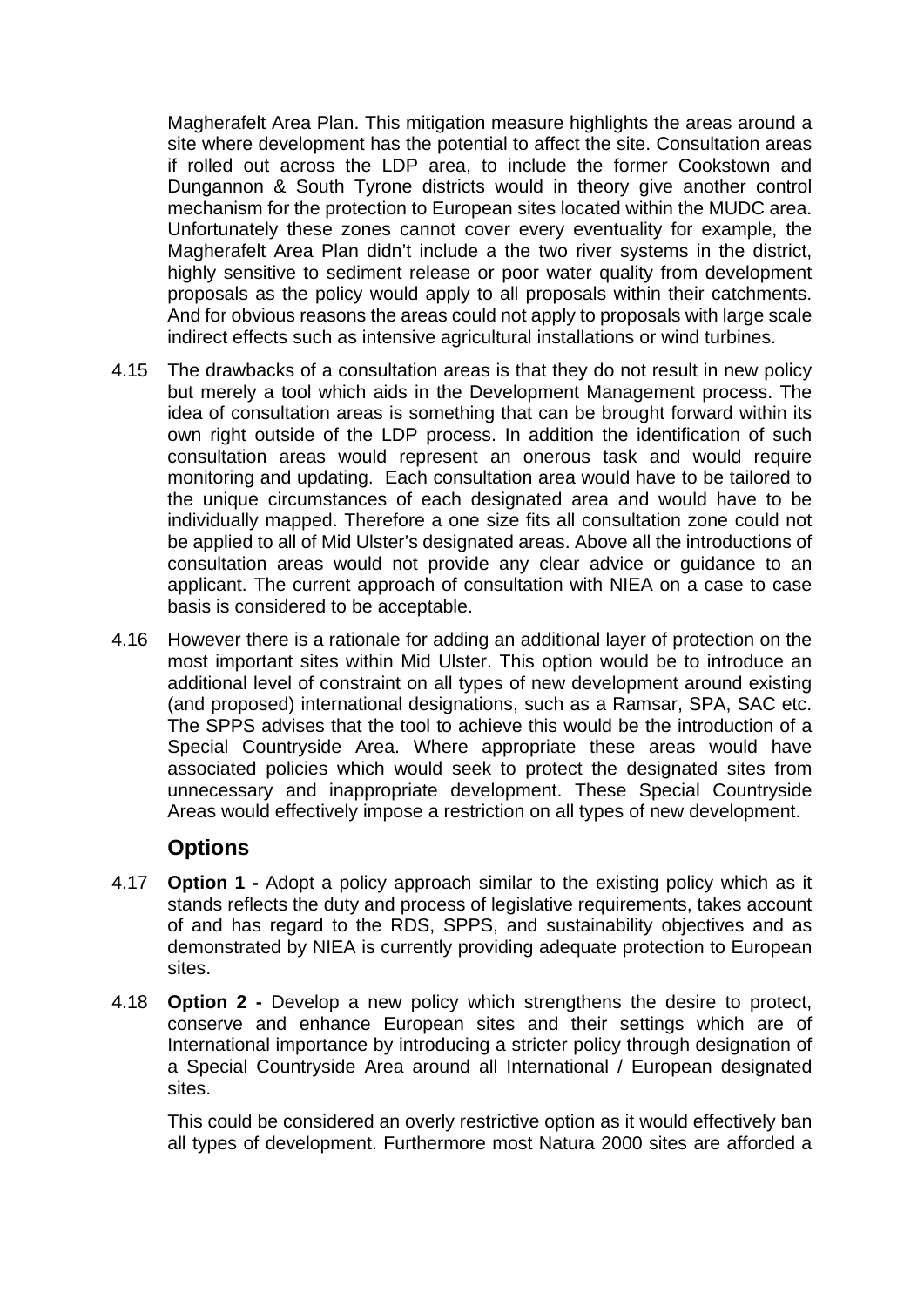Magherafelt Area Plan. This mitigation measure highlights the areas around a site where development has the potential to affect the site. Consultation areas if rolled out across the LDP area, to include the former Cookstown and Dungannon & South Tyrone districts would in theory give another control mechanism for the protection to European sites located within the MUDC area. Unfortunately these zones cannot cover every eventuality for example, the Magherafelt Area Plan didn't include a the two river systems in the district, highly sensitive to sediment release or poor water quality from development proposals as the policy would apply to all proposals within their catchments. And for obvious reasons the areas could not apply to proposals with large scale indirect effects such as intensive agricultural installations or wind turbines.

- 4.15 The drawbacks of a consultation areas is that they do not result in new policy but merely a tool which aids in the Development Management process. The idea of consultation areas is something that can be brought forward within its own right outside of the LDP process. In addition the identification of such consultation areas would represent an onerous task and would require monitoring and updating. Each consultation area would have to be tailored to the unique circumstances of each designated area and would have to be individually mapped. Therefore a one size fits all consultation zone could not be applied to all of Mid Ulster's designated areas. Above all the introductions of consultation areas would not provide any clear advice or guidance to an applicant. The current approach of consultation with NIEA on a case to case basis is considered to be acceptable.
- 4.16 However there is a rationale for adding an additional layer of protection on the most important sites within Mid Ulster. This option would be to introduce an additional level of constraint on all types of new development around existing (and proposed) international designations, such as a Ramsar, SPA, SAC etc. The SPPS advises that the tool to achieve this would be the introduction of a Special Countryside Area. Where appropriate these areas would have associated policies which would seek to protect the designated sites from unnecessary and inappropriate development. These Special Countryside Areas would effectively impose a restriction on all types of new development.

### **Options**

- 4.17 **Option 1** *-* Adopt a policy approach similar to the existing policy which as it stands reflects the duty and process of legislative requirements, takes account of and has regard to the RDS, SPPS, and sustainability objectives and as demonstrated by NIEA is currently providing adequate protection to European sites.
- 4.18 **Option 2 -** Develop a new policy which strengthens the desire to protect, conserve and enhance European sites and their settings which are of International importance by introducing a stricter policy through designation of a Special Countryside Area around all International / European designated sites.

This could be considered an overly restrictive option as it would effectively ban all types of development. Furthermore most Natura 2000 sites are afforded a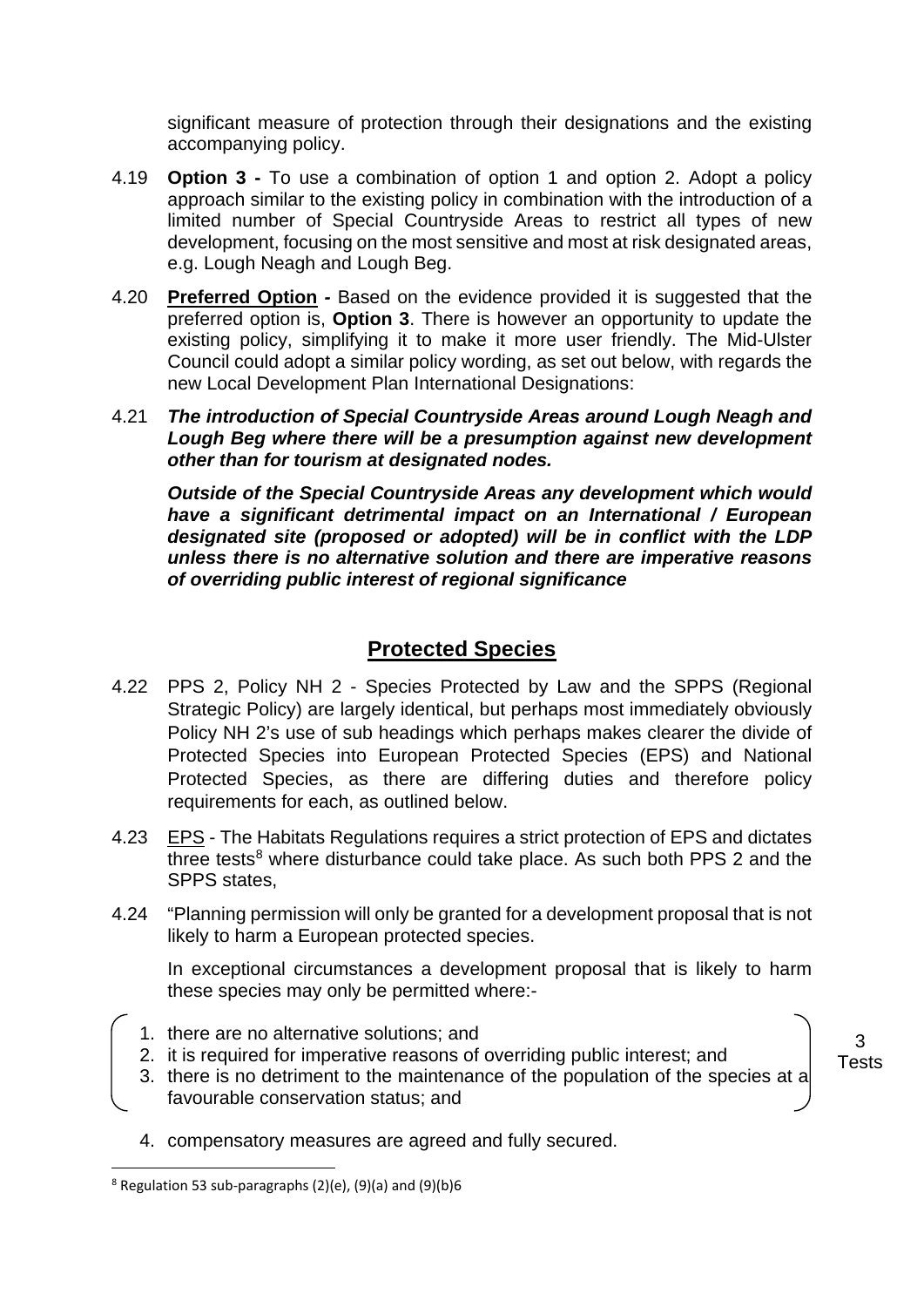significant measure of protection through their designations and the existing accompanying policy.

- 4.19 **Option 3 -** To use a combination of option 1 and option 2. Adopt a policy approach similar to the existing policy in combination with the introduction of a limited number of Special Countryside Areas to restrict all types of new development, focusing on the most sensitive and most at risk designated areas, e.g. Lough Neagh and Lough Beg.
- 4.20 **Preferred Option** *-* Based on the evidence provided it is suggested that the preferred option is, **Option 3**. There is however an opportunity to update the existing policy, simplifying it to make it more user friendly. The Mid-Ulster Council could adopt a similar policy wording, as set out below, with regards the new Local Development Plan International Designations:
- 4.21 *The introduction of Special Countryside Areas around Lough Neagh and Lough Beg where there will be a presumption against new development other than for tourism at designated nodes.*

*Outside of the Special Countryside Areas any development which would have a significant detrimental impact on an International / European designated site (proposed or adopted) will be in conflict with the LDP unless there is no alternative solution and there are imperative reasons of overriding public interest of regional significance* 

# **Protected Species**

- 4.22 PPS 2, Policy NH 2 Species Protected by Law and the SPPS (Regional Strategic Policy) are largely identical, but perhaps most immediately obviously Policy NH 2's use of sub headings which perhaps makes clearer the divide of Protected Species into European Protected Species (EPS) and National Protected Species, as there are differing duties and therefore policy requirements for each, as outlined below.
- 4.23 EPS The Habitats Regulations requires a strict protection of EPS and dictates three tests $8$  where disturbance could take place. As such both PPS 2 and the SPPS states,
- 4.24 "Planning permission will only be granted for a development proposal that is not likely to harm a European protected species.

In exceptional circumstances a development proposal that is likely to harm these species may only be permitted where:-

- 1. there are no alternative solutions; and
- 2. it is required for imperative reasons of overriding public interest; and
- 3. there is no detriment to the maintenance of the population of the species at a favourable conservation status; and
- 4. compensatory measures are agreed and fully secured.

3 Tests

<span id="page-9-0"></span> $8$  Regulation 53 sub-paragraphs (2)(e), (9)(a) and (9)(b)6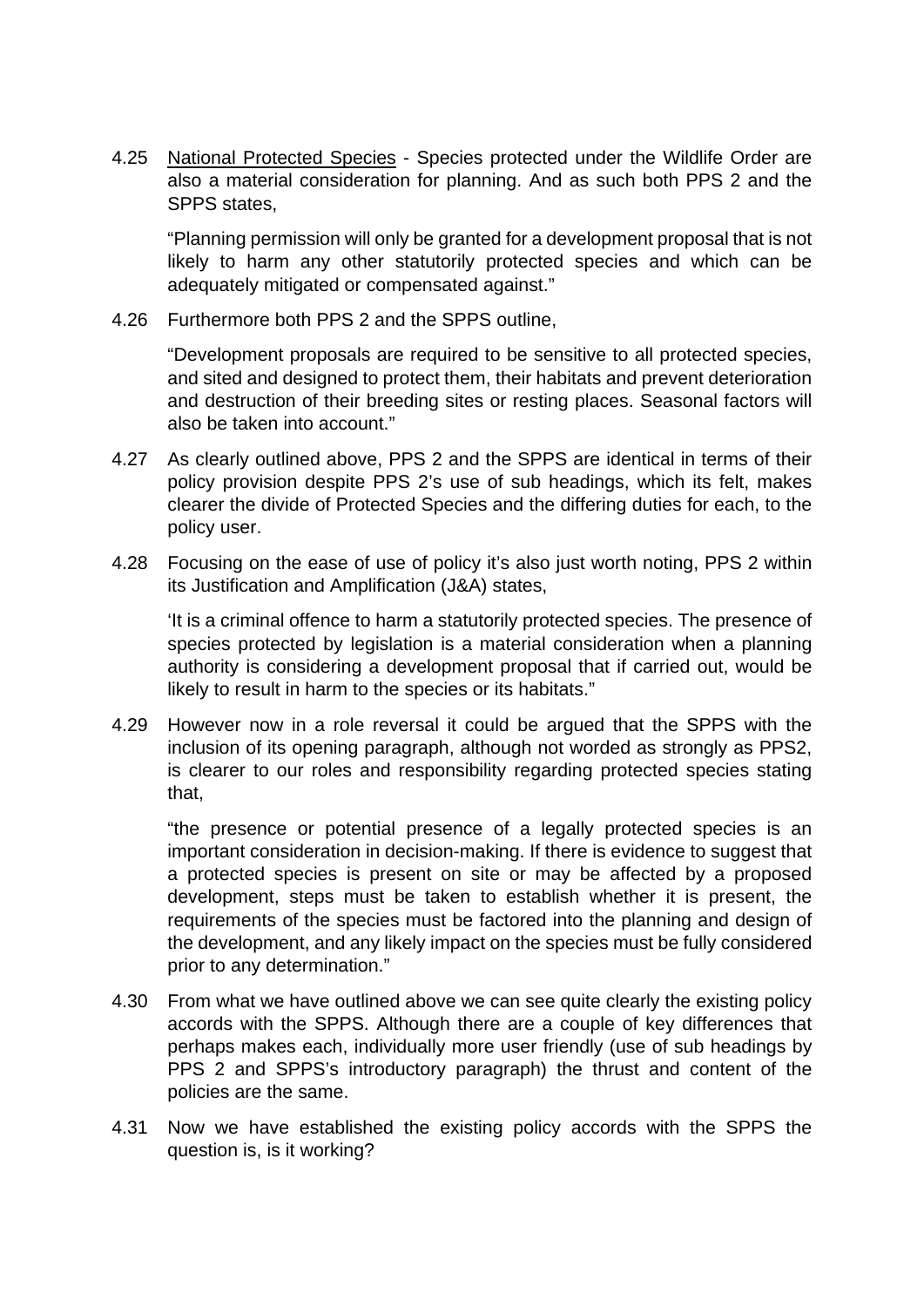4.25 National Protected Species - Species protected under the Wildlife Order are also a material consideration for planning. And as such both PPS 2 and the SPPS states,

"Planning permission will only be granted for a development proposal that is not likely to harm any other statutorily protected species and which can be adequately mitigated or compensated against."

4.26 Furthermore both PPS 2 and the SPPS outline,

"Development proposals are required to be sensitive to all protected species, and sited and designed to protect them, their habitats and prevent deterioration and destruction of their breeding sites or resting places. Seasonal factors will also be taken into account."

- 4.27 As clearly outlined above, PPS 2 and the SPPS are identical in terms of their policy provision despite PPS 2's use of sub headings, which its felt, makes clearer the divide of Protected Species and the differing duties for each, to the policy user.
- 4.28 Focusing on the ease of use of policy it's also just worth noting, PPS 2 within its Justification and Amplification (J&A) states,

'It is a criminal offence to harm a statutorily protected species. The presence of species protected by legislation is a material consideration when a planning authority is considering a development proposal that if carried out, would be likely to result in harm to the species or its habitats."

4.29 However now in a role reversal it could be argued that the SPPS with the inclusion of its opening paragraph, although not worded as strongly as PPS2, is clearer to our roles and responsibility regarding protected species stating that,

"the presence or potential presence of a legally protected species is an important consideration in decision-making. If there is evidence to suggest that a protected species is present on site or may be affected by a proposed development, steps must be taken to establish whether it is present, the requirements of the species must be factored into the planning and design of the development, and any likely impact on the species must be fully considered prior to any determination."

- 4.30 From what we have outlined above we can see quite clearly the existing policy accords with the SPPS. Although there are a couple of key differences that perhaps makes each, individually more user friendly (use of sub headings by PPS 2 and SPPS's introductory paragraph) the thrust and content of the policies are the same.
- 4.31 Now we have established the existing policy accords with the SPPS the question is, is it working?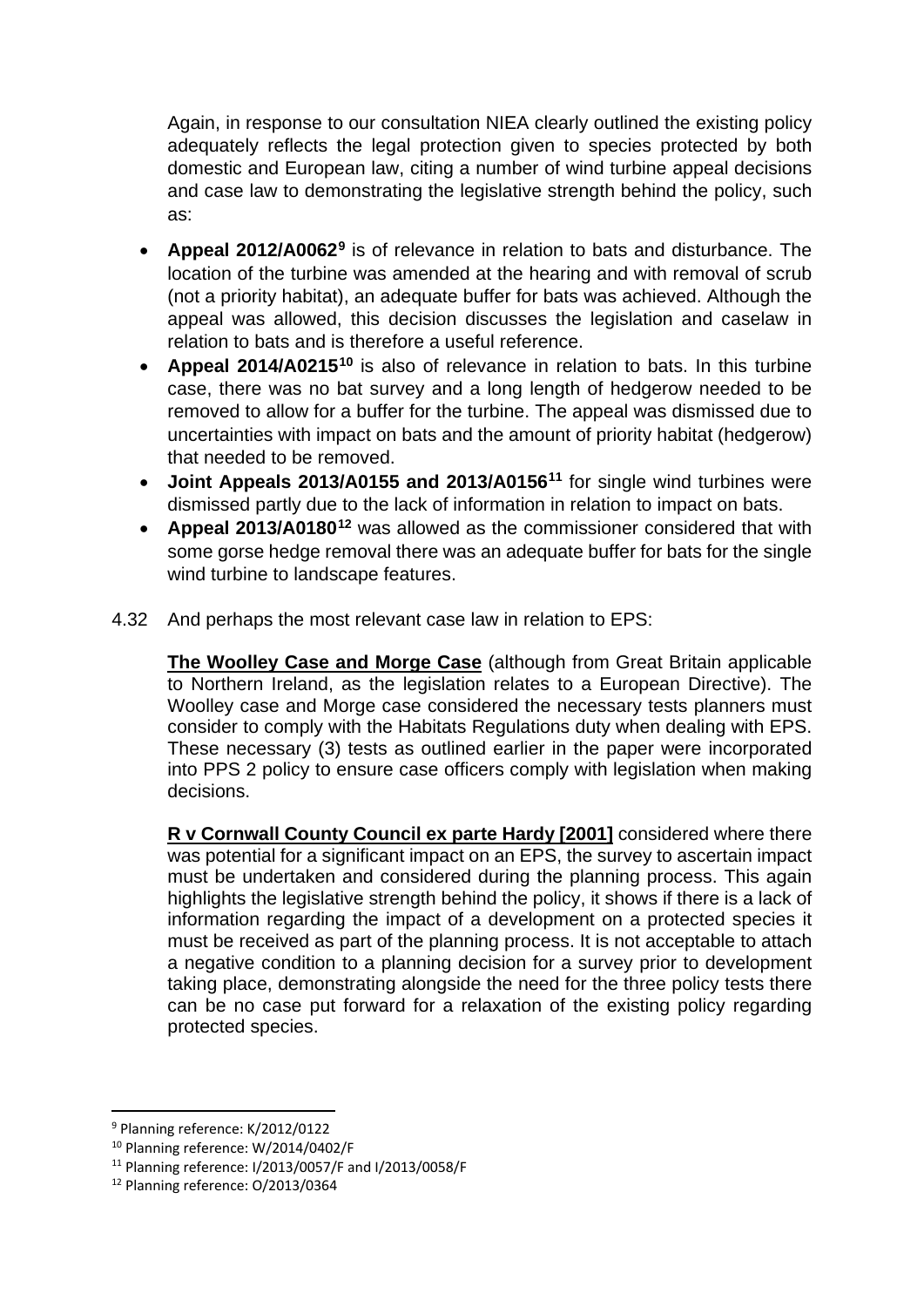Again, in response to our consultation NIEA clearly outlined the existing policy adequately reflects the legal protection given to species protected by both domestic and European law, citing a number of wind turbine appeal decisions and case law to demonstrating the legislative strength behind the policy, such as:

- **Appeal 2012/A0062[9](#page-11-0)** is of relevance in relation to bats and disturbance. The location of the turbine was amended at the hearing and with removal of scrub (not a priority habitat), an adequate buffer for bats was achieved. Although the appeal was allowed, this decision discusses the legislation and caselaw in relation to bats and is therefore a useful reference.
- **Appeal 2014/A0215[10](#page-11-1)** is also of relevance in relation to bats. In this turbine case, there was no bat survey and a long length of hedgerow needed to be removed to allow for a buffer for the turbine. The appeal was dismissed due to uncertainties with impact on bats and the amount of priority habitat (hedgerow) that needed to be removed.
- **Joint Appeals 2013/A0155 and 2013/A0156[11](#page-11-2)** for single wind turbines were dismissed partly due to the lack of information in relation to impact on bats.
- **Appeal 2013/A0180[12](#page-11-3)** was allowed as the commissioner considered that with some gorse hedge removal there was an adequate buffer for bats for the single wind turbine to landscape features.
- 4.32 And perhaps the most relevant case law in relation to EPS:

**The Woolley Case and Morge Case** (although from Great Britain applicable to Northern Ireland, as the legislation relates to a European Directive). The Woolley case and Morge case considered the necessary tests planners must consider to comply with the Habitats Regulations duty when dealing with EPS. These necessary (3) tests as outlined earlier in the paper were incorporated into PPS 2 policy to ensure case officers comply with legislation when making decisions.

**R v Cornwall County Council ex parte Hardy [2001]** considered where there was potential for a significant impact on an EPS, the survey to ascertain impact must be undertaken and considered during the planning process. This again highlights the legislative strength behind the policy, it shows if there is a lack of information regarding the impact of a development on a protected species it must be received as part of the planning process. It is not acceptable to attach a negative condition to a planning decision for a survey prior to development taking place, demonstrating alongside the need for the three policy tests there can be no case put forward for a relaxation of the existing policy regarding protected species.

<span id="page-11-0"></span> <sup>9</sup> Planning reference: K/2012/0122

<span id="page-11-1"></span><sup>10</sup> Planning reference: W/2014/0402/F

<span id="page-11-2"></span><sup>11</sup> Planning reference: I/2013/0057/F and I/2013/0058/F

<span id="page-11-3"></span><sup>12</sup> Planning reference: O/2013/0364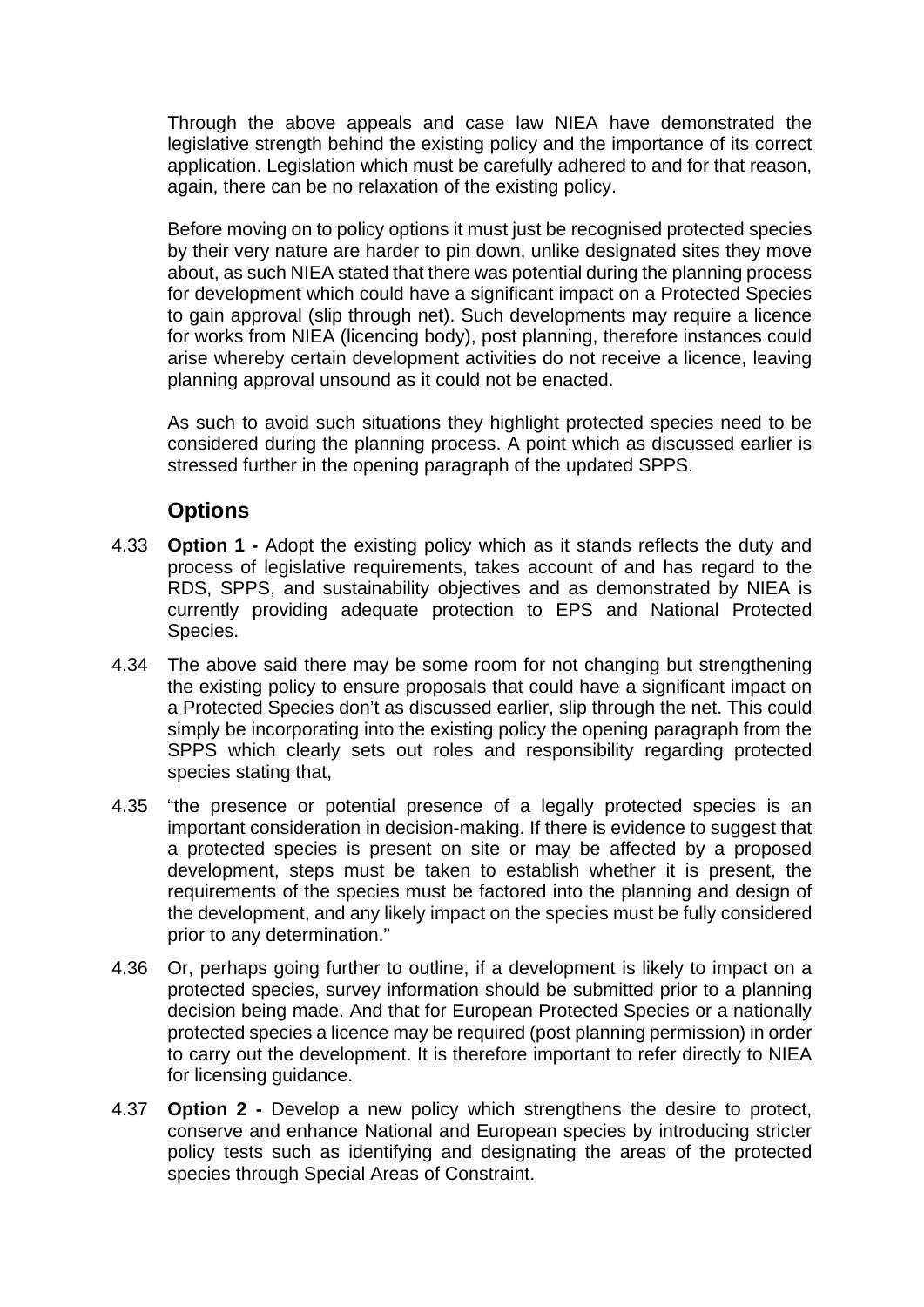Through the above appeals and case law NIEA have demonstrated the legislative strength behind the existing policy and the importance of its correct application. Legislation which must be carefully adhered to and for that reason, again, there can be no relaxation of the existing policy.

Before moving on to policy options it must just be recognised protected species by their very nature are harder to pin down, unlike designated sites they move about, as such NIEA stated that there was potential during the planning process for development which could have a significant impact on a Protected Species to gain approval (slip through net). Such developments may require a licence for works from NIEA (licencing body), post planning, therefore instances could arise whereby certain development activities do not receive a licence, leaving planning approval unsound as it could not be enacted.

As such to avoid such situations they highlight protected species need to be considered during the planning process. A point which as discussed earlier is stressed further in the opening paragraph of the updated SPPS.

### **Options**

- 4.33 **Option 1** *-* Adopt the existing policy which as it stands reflects the duty and process of legislative requirements, takes account of and has regard to the RDS, SPPS, and sustainability objectives and as demonstrated by NIEA is currently providing adequate protection to EPS and National Protected Species.
- 4.34 The above said there may be some room for not changing but strengthening the existing policy to ensure proposals that could have a significant impact on a Protected Species don't as discussed earlier, slip through the net. This could simply be incorporating into the existing policy the opening paragraph from the SPPS which clearly sets out roles and responsibility regarding protected species stating that,
- 4.35 "the presence or potential presence of a legally protected species is an important consideration in decision-making. If there is evidence to suggest that a protected species is present on site or may be affected by a proposed development, steps must be taken to establish whether it is present, the requirements of the species must be factored into the planning and design of the development, and any likely impact on the species must be fully considered prior to any determination."
- 4.36 Or, perhaps going further to outline, if a development is likely to impact on a protected species, survey information should be submitted prior to a planning decision being made. And that for European Protected Species or a nationally protected species a licence may be required (post planning permission) in order to carry out the development. It is therefore important to refer directly to NIEA for licensing guidance.
- 4.37 **Option 2 -** Develop a new policy which strengthens the desire to protect, conserve and enhance National and European species by introducing stricter policy tests such as identifying and designating the areas of the protected species through Special Areas of Constraint.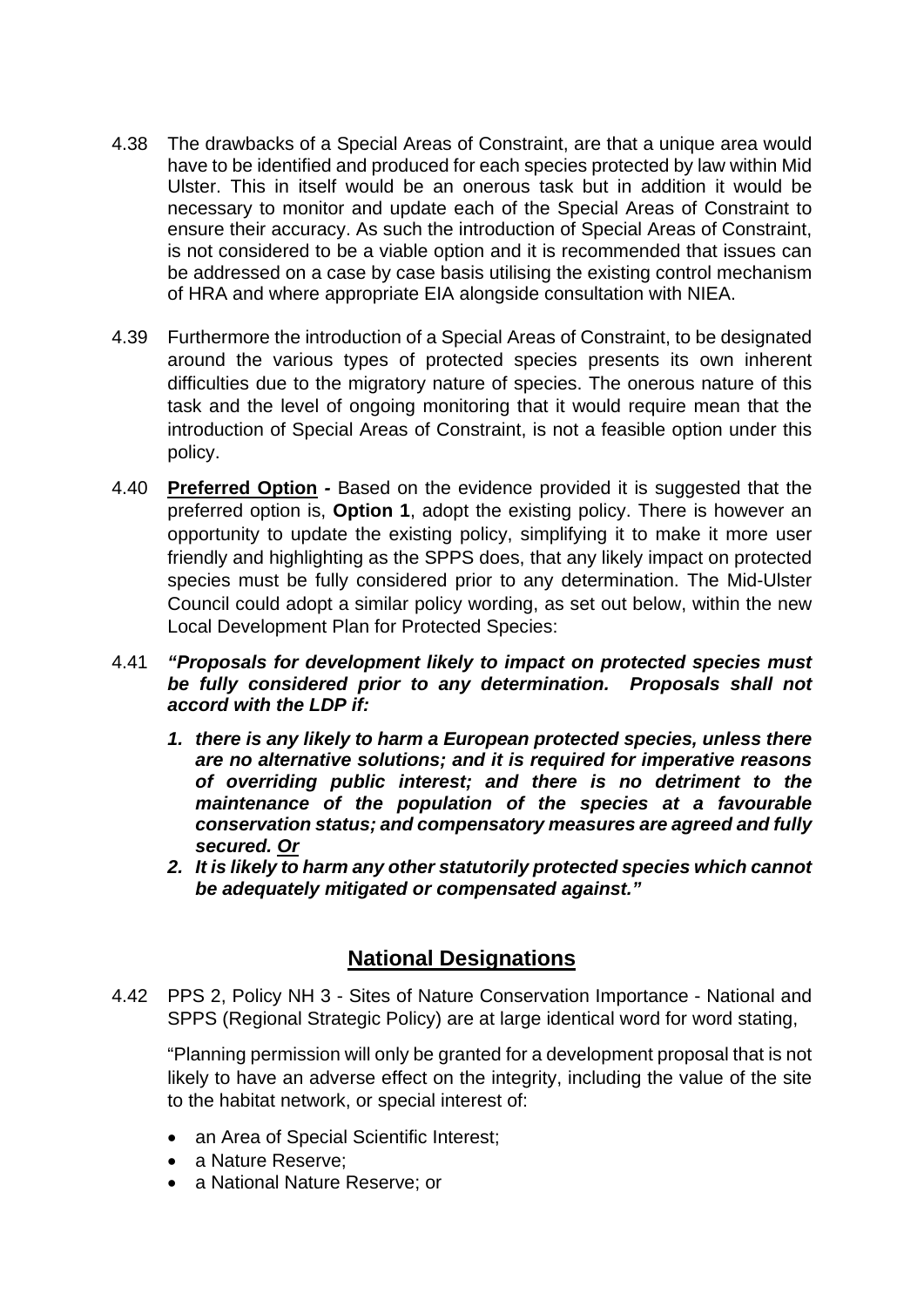- 4.38 The drawbacks of a Special Areas of Constraint, are that a unique area would have to be identified and produced for each species protected by law within Mid Ulster. This in itself would be an onerous task but in addition it would be necessary to monitor and update each of the Special Areas of Constraint to ensure their accuracy. As such the introduction of Special Areas of Constraint, is not considered to be a viable option and it is recommended that issues can be addressed on a case by case basis utilising the existing control mechanism of HRA and where appropriate EIA alongside consultation with NIEA.
- 4.39 Furthermore the introduction of a Special Areas of Constraint, to be designated around the various types of protected species presents its own inherent difficulties due to the migratory nature of species. The onerous nature of this task and the level of ongoing monitoring that it would require mean that the introduction of Special Areas of Constraint, is not a feasible option under this policy.
- 4.40 **Preferred Option** *-* Based on the evidence provided it is suggested that the preferred option is, **Option 1**, adopt the existing policy. There is however an opportunity to update the existing policy, simplifying it to make it more user friendly and highlighting as the SPPS does, that any likely impact on protected species must be fully considered prior to any determination. The Mid-Ulster Council could adopt a similar policy wording, as set out below, within the new Local Development Plan for Protected Species:

#### 4.41 *"Proposals for development likely to impact on protected species must be fully considered prior to any determination. Proposals shall not accord with the LDP if:*

- *1. there is any likely to harm a European protected species, unless there are no alternative solutions; and it is required for imperative reasons of overriding public interest; and there is no detriment to the maintenance of the population of the species at a favourable conservation status; and compensatory measures are agreed and fully secured. Or*
- *2. It is likely to harm any other statutorily protected species which cannot be adequately mitigated or compensated against."*

# **National Designations**

4.42 PPS 2, Policy NH 3 - Sites of Nature Conservation Importance - National and SPPS (Regional Strategic Policy) are at large identical word for word stating,

"Planning permission will only be granted for a development proposal that is not likely to have an adverse effect on the integrity, including the value of the site to the habitat network, or special interest of:

- an Area of Special Scientific Interest;
- a Nature Reserve:
- a National Nature Reserve: or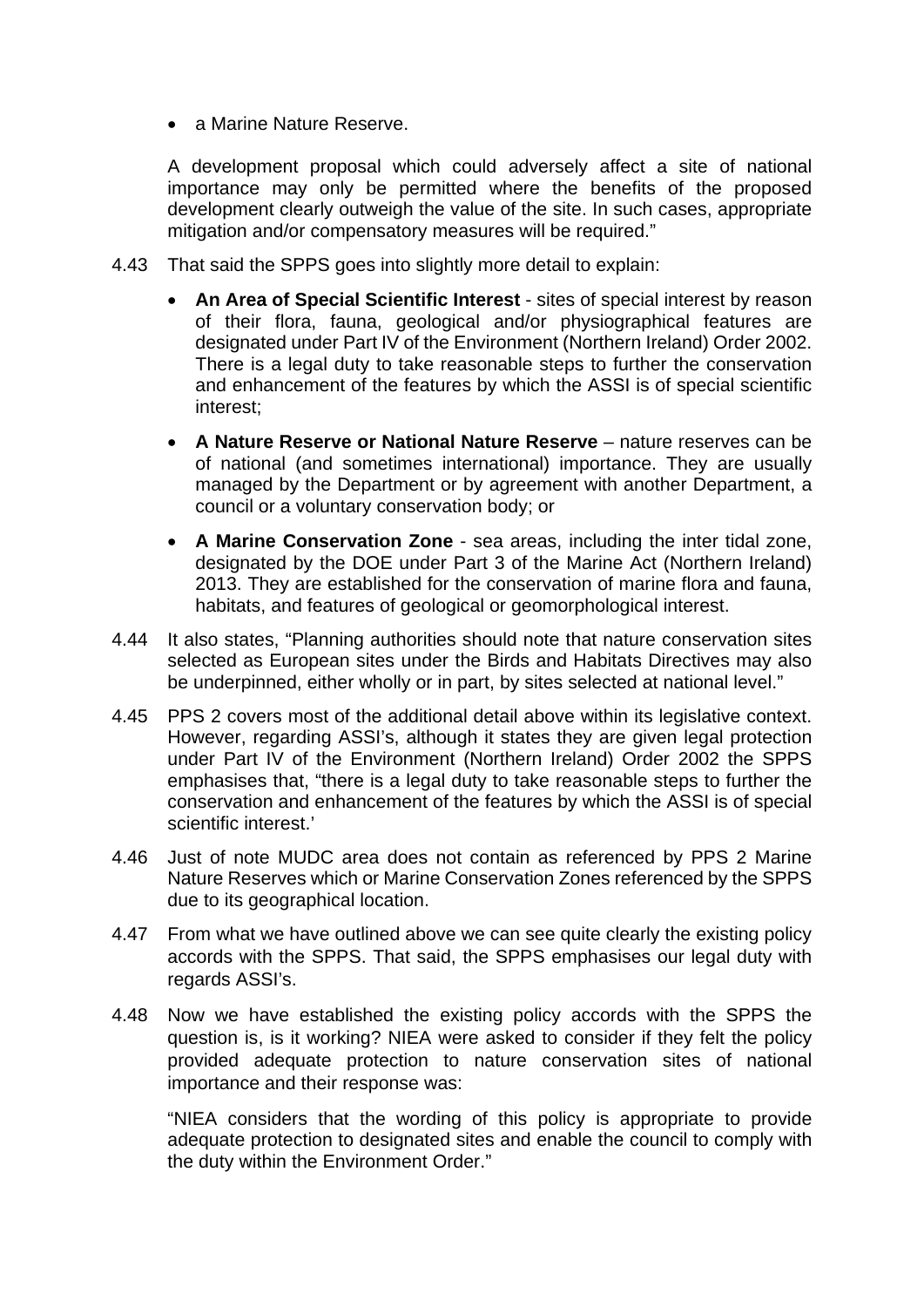• a Marine Nature Reserve.

A development proposal which could adversely affect a site of national importance may only be permitted where the benefits of the proposed development clearly outweigh the value of the site. In such cases, appropriate mitigation and/or compensatory measures will be required."

- 4.43 That said the SPPS goes into slightly more detail to explain:
	- **An Area of Special Scientific Interest** sites of special interest by reason of their flora, fauna, geological and/or physiographical features are designated under Part IV of the Environment (Northern Ireland) Order 2002. There is a legal duty to take reasonable steps to further the conservation and enhancement of the features by which the ASSI is of special scientific interest;
	- **A Nature Reserve or National Nature Reserve** nature reserves can be of national (and sometimes international) importance. They are usually managed by the Department or by agreement with another Department, a council or a voluntary conservation body; or
	- **A Marine Conservation Zone** sea areas, including the inter tidal zone, designated by the DOE under Part 3 of the Marine Act (Northern Ireland) 2013. They are established for the conservation of marine flora and fauna, habitats, and features of geological or geomorphological interest.
- 4.44 It also states, "Planning authorities should note that nature conservation sites selected as European sites under the Birds and Habitats Directives may also be underpinned, either wholly or in part, by sites selected at national level."
- 4.45 PPS 2 covers most of the additional detail above within its legislative context. However, regarding ASSI's, although it states they are given legal protection under Part IV of the Environment (Northern Ireland) Order 2002 the SPPS emphasises that, "there is a legal duty to take reasonable steps to further the conservation and enhancement of the features by which the ASSI is of special scientific interest.'
- 4.46 Just of note MUDC area does not contain as referenced by PPS 2 Marine Nature Reserves which or Marine Conservation Zones referenced by the SPPS due to its geographical location.
- 4.47 From what we have outlined above we can see quite clearly the existing policy accords with the SPPS. That said, the SPPS emphasises our legal duty with regards ASSI's.
- 4.48 Now we have established the existing policy accords with the SPPS the question is, is it working? NIEA were asked to consider if they felt the policy provided adequate protection to nature conservation sites of national importance and their response was:

"NIEA considers that the wording of this policy is appropriate to provide adequate protection to designated sites and enable the council to comply with the duty within the Environment Order."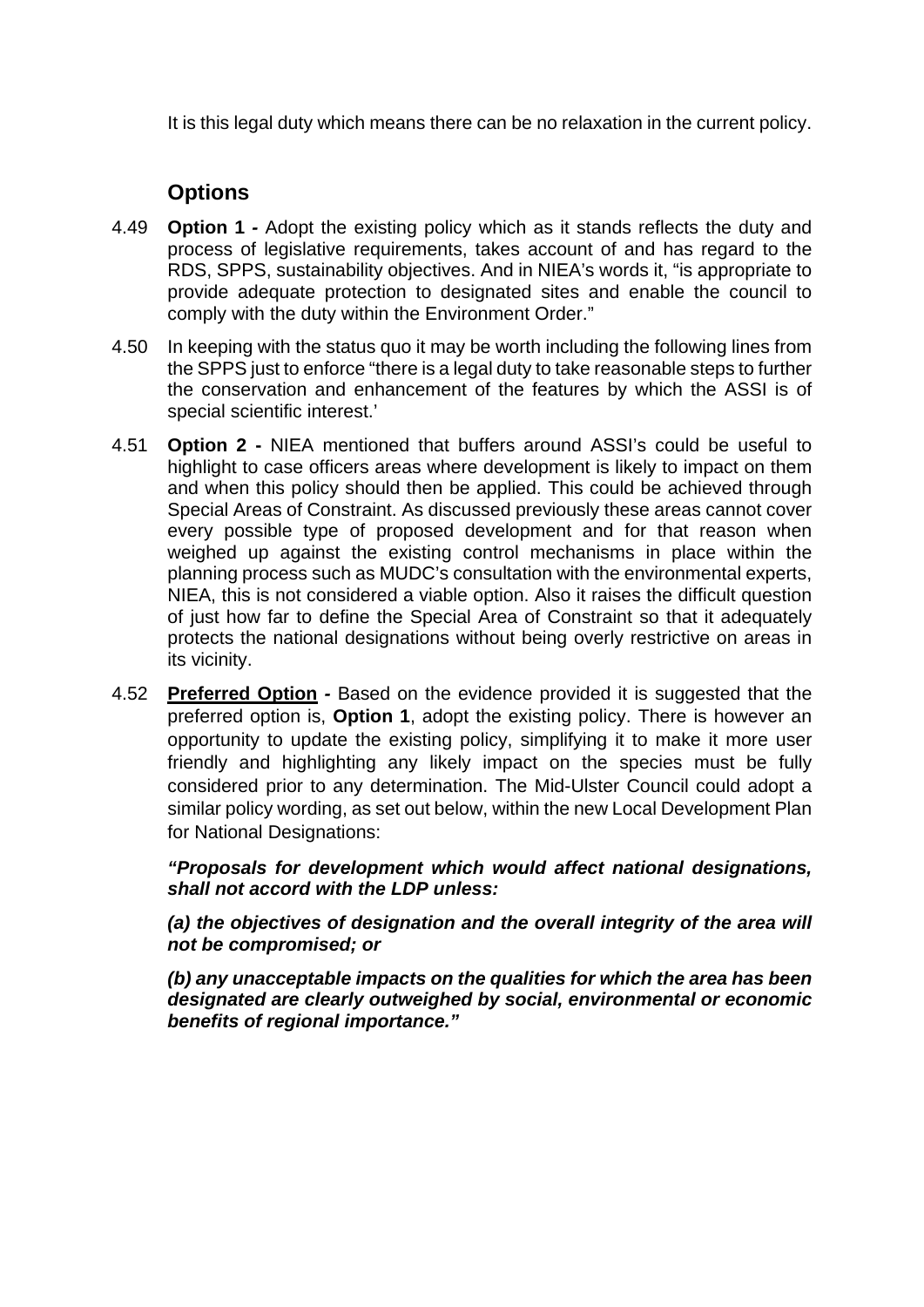It is this legal duty which means there can be no relaxation in the current policy.

# **Options**

- 4.49 **Option 1** *-* Adopt the existing policy which as it stands reflects the duty and process of legislative requirements, takes account of and has regard to the RDS, SPPS, sustainability objectives. And in NIEA's words it, "is appropriate to provide adequate protection to designated sites and enable the council to comply with the duty within the Environment Order."
- 4.50 In keeping with the status quo it may be worth including the following lines from the SPPS just to enforce "there is a legal duty to take reasonable steps to further the conservation and enhancement of the features by which the ASSI is of special scientific interest.'
- 4.51 **Option 2 -** NIEA mentioned that buffers around ASSI's could be useful to highlight to case officers areas where development is likely to impact on them and when this policy should then be applied. This could be achieved through Special Areas of Constraint. As discussed previously these areas cannot cover every possible type of proposed development and for that reason when weighed up against the existing control mechanisms in place within the planning process such as MUDC's consultation with the environmental experts, NIEA, this is not considered a viable option. Also it raises the difficult question of just how far to define the Special Area of Constraint so that it adequately protects the national designations without being overly restrictive on areas in its vicinity.
- 4.52 **Preferred Option** *-* Based on the evidence provided it is suggested that the preferred option is, **Option 1**, adopt the existing policy. There is however an opportunity to update the existing policy, simplifying it to make it more user friendly and highlighting any likely impact on the species must be fully considered prior to any determination. The Mid-Ulster Council could adopt a similar policy wording, as set out below, within the new Local Development Plan for National Designations:

*"Proposals for development which would affect national designations, shall not accord with the LDP unless:* 

*(a) the objectives of designation and the overall integrity of the area will not be compromised; or* 

*(b) any unacceptable impacts on the qualities for which the area has been designated are clearly outweighed by social, environmental or economic benefits of regional importance."*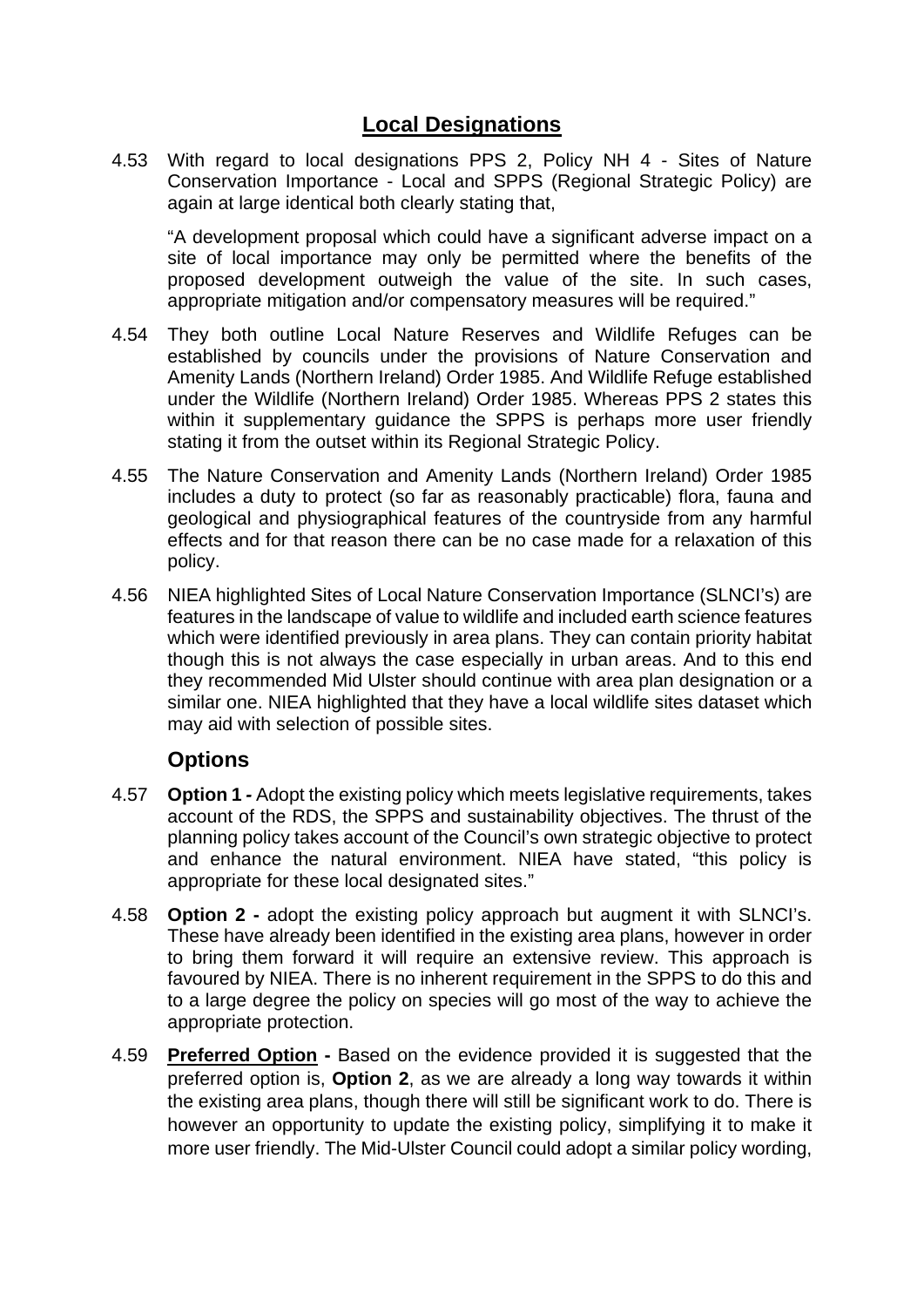### **Local Designations**

4.53 With regard to local designations PPS 2, Policy NH 4 - Sites of Nature Conservation Importance - Local and SPPS (Regional Strategic Policy) are again at large identical both clearly stating that,

"A development proposal which could have a significant adverse impact on a site of local importance may only be permitted where the benefits of the proposed development outweigh the value of the site. In such cases, appropriate mitigation and/or compensatory measures will be required."

- 4.54 They both outline Local Nature Reserves and Wildlife Refuges can be established by councils under the provisions of Nature Conservation and Amenity Lands (Northern Ireland) Order 1985. And Wildlife Refuge established under the Wildlife (Northern Ireland) Order 1985. Whereas PPS 2 states this within it supplementary quidance the SPPS is perhaps more user friendly stating it from the outset within its Regional Strategic Policy.
- 4.55 The Nature Conservation and Amenity Lands (Northern Ireland) Order 1985 includes a duty to protect (so far as reasonably practicable) flora, fauna and geological and physiographical features of the countryside from any harmful effects and for that reason there can be no case made for a relaxation of this policy.
- 4.56 NIEA highlighted Sites of Local Nature Conservation Importance (SLNCI's) are features in the landscape of value to wildlife and included earth science features which were identified previously in area plans. They can contain priority habitat though this is not always the case especially in urban areas. And to this end they recommended Mid Ulster should continue with area plan designation or a similar one. NIEA highlighted that they have a local wildlife sites dataset which may aid with selection of possible sites.

### **Options**

- 4.57 **Option 1** *-* Adopt the existing policy which meets legislative requirements, takes account of the RDS, the SPPS and sustainability objectives. The thrust of the planning policy takes account of the Council's own strategic objective to protect and enhance the natural environment. NIEA have stated, "this policy is appropriate for these local designated sites."
- 4.58 **Option 2 -** adopt the existing policy approach but augment it with SLNCI's. These have already been identified in the existing area plans, however in order to bring them forward it will require an extensive review. This approach is favoured by NIEA. There is no inherent requirement in the SPPS to do this and to a large degree the policy on species will go most of the way to achieve the appropriate protection.
- 4.59 **Preferred Option -** Based on the evidence provided it is suggested that the preferred option is, **Option 2**, as we are already a long way towards it within the existing area plans, though there will still be significant work to do. There is however an opportunity to update the existing policy, simplifying it to make it more user friendly. The Mid-Ulster Council could adopt a similar policy wording,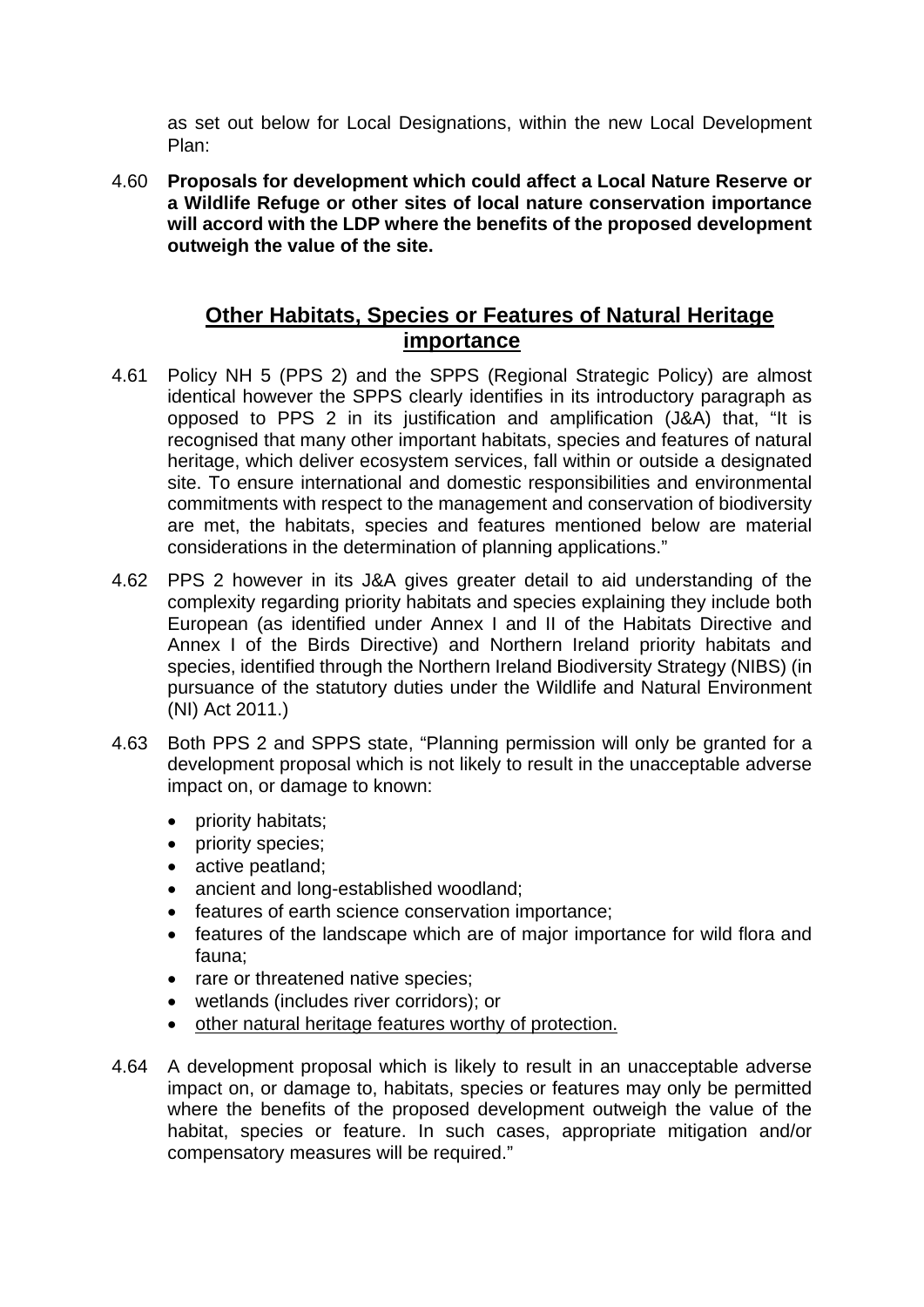as set out below for Local Designations, within the new Local Development Plan:

4.60 **Proposals for development which could affect a Local Nature Reserve or a Wildlife Refuge or other sites of local nature conservation importance will accord with the LDP where the benefits of the proposed development outweigh the value of the site.** 

# **Other Habitats, Species or Features of Natural Heritage importance**

- 4.61 Policy NH 5 (PPS 2) and the SPPS (Regional Strategic Policy) are almost identical however the SPPS clearly identifies in its introductory paragraph as opposed to PPS 2 in its justification and amplification (J&A) that, "It is recognised that many other important habitats, species and features of natural heritage, which deliver ecosystem services, fall within or outside a designated site. To ensure international and domestic responsibilities and environmental commitments with respect to the management and conservation of biodiversity are met, the habitats, species and features mentioned below are material considerations in the determination of planning applications."
- 4.62 PPS 2 however in its J&A gives greater detail to aid understanding of the complexity regarding priority habitats and species explaining they include both European (as identified under Annex I and II of the Habitats Directive and Annex I of the Birds Directive) and Northern Ireland priority habitats and species, identified through the Northern Ireland Biodiversity Strategy (NIBS) (in pursuance of the statutory duties under the Wildlife and Natural Environment (NI) Act 2011.)
- 4.63 Both PPS 2 and SPPS state, "Planning permission will only be granted for a development proposal which is not likely to result in the unacceptable adverse impact on, or damage to known:
	- priority habitats;
	- priority species;
	- active peatland;
	- ancient and long-established woodland;
	- features of earth science conservation importance;
	- features of the landscape which are of major importance for wild flora and fauna;
	- rare or threatened native species;
	- wetlands (includes river corridors); or
	- other natural heritage features worthy of protection.
- 4.64 A development proposal which is likely to result in an unacceptable adverse impact on, or damage to, habitats, species or features may only be permitted where the benefits of the proposed development outweigh the value of the habitat, species or feature. In such cases, appropriate mitigation and/or compensatory measures will be required."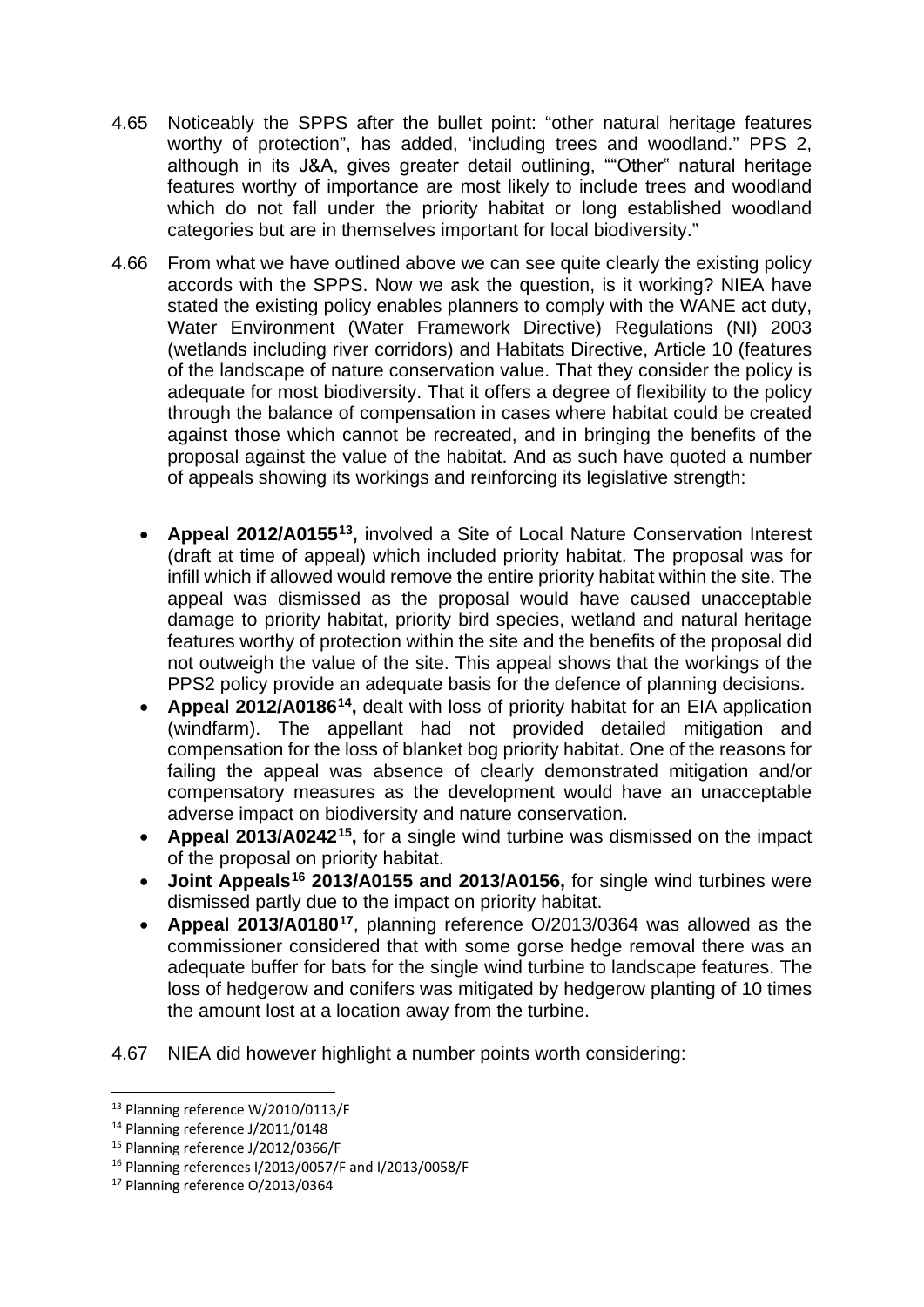- 4.65 Noticeably the SPPS after the bullet point: "other natural heritage features worthy of protection", has added, 'including trees and woodland." PPS 2, although in its J&A, gives greater detail outlining, ""Other" natural heritage features worthy of importance are most likely to include trees and woodland which do not fall under the priority habitat or long established woodland categories but are in themselves important for local biodiversity."
- 4.66 From what we have outlined above we can see quite clearly the existing policy accords with the SPPS. Now we ask the question, is it working? NIEA have stated the existing policy enables planners to comply with the WANE act duty, Water Environment (Water Framework Directive) Regulations (NI) 2003 (wetlands including river corridors) and Habitats Directive, Article 10 (features of the landscape of nature conservation value. That they consider the policy is adequate for most biodiversity. That it offers a degree of flexibility to the policy through the balance of compensation in cases where habitat could be created against those which cannot be recreated, and in bringing the benefits of the proposal against the value of the habitat. And as such have quoted a number of appeals showing its workings and reinforcing its legislative strength:
	- **Appeal 2012/A0155[13](#page-18-0),** involved a Site of Local Nature Conservation Interest (draft at time of appeal) which included priority habitat. The proposal was for infill which if allowed would remove the entire priority habitat within the site. The appeal was dismissed as the proposal would have caused unacceptable damage to priority habitat, priority bird species, wetland and natural heritage features worthy of protection within the site and the benefits of the proposal did not outweigh the value of the site. This appeal shows that the workings of the PPS2 policy provide an adequate basis for the defence of planning decisions.
	- **Appeal 2012/A0186[14,](#page-18-1)** dealt with loss of priority habitat for an EIA application (windfarm). The appellant had not provided detailed mitigation and compensation for the loss of blanket bog priority habitat. One of the reasons for failing the appeal was absence of clearly demonstrated mitigation and/or compensatory measures as the development would have an unacceptable adverse impact on biodiversity and nature conservation.
	- **Appeal 2013/A0242[15,](#page-18-2)** for a single wind turbine was dismissed on the impact of the proposal on priority habitat.
	- **Joint Appeals[16](#page-18-3) 2013/A0155 and 2013/A0156,** for single wind turbines were dismissed partly due to the impact on priority habitat.
	- **Appeal 2013/A0180[17](#page-18-4)**, planning reference O/2013/0364 was allowed as the commissioner considered that with some gorse hedge removal there was an adequate buffer for bats for the single wind turbine to landscape features. The loss of hedgerow and conifers was mitigated by hedgerow planting of 10 times the amount lost at a location away from the turbine.
- 4.67 NIEA did however highlight a number points worth considering:

<span id="page-18-0"></span> <sup>13</sup> Planning reference W/2010/0113/F

<span id="page-18-1"></span><sup>14</sup> Planning reference J/2011/0148

<span id="page-18-2"></span><sup>15</sup> Planning reference J/2012/0366/F

<span id="page-18-3"></span><sup>16</sup> Planning references I/2013/0057/F and I/2013/0058/F

<span id="page-18-4"></span><sup>17</sup> Planning reference O/2013/0364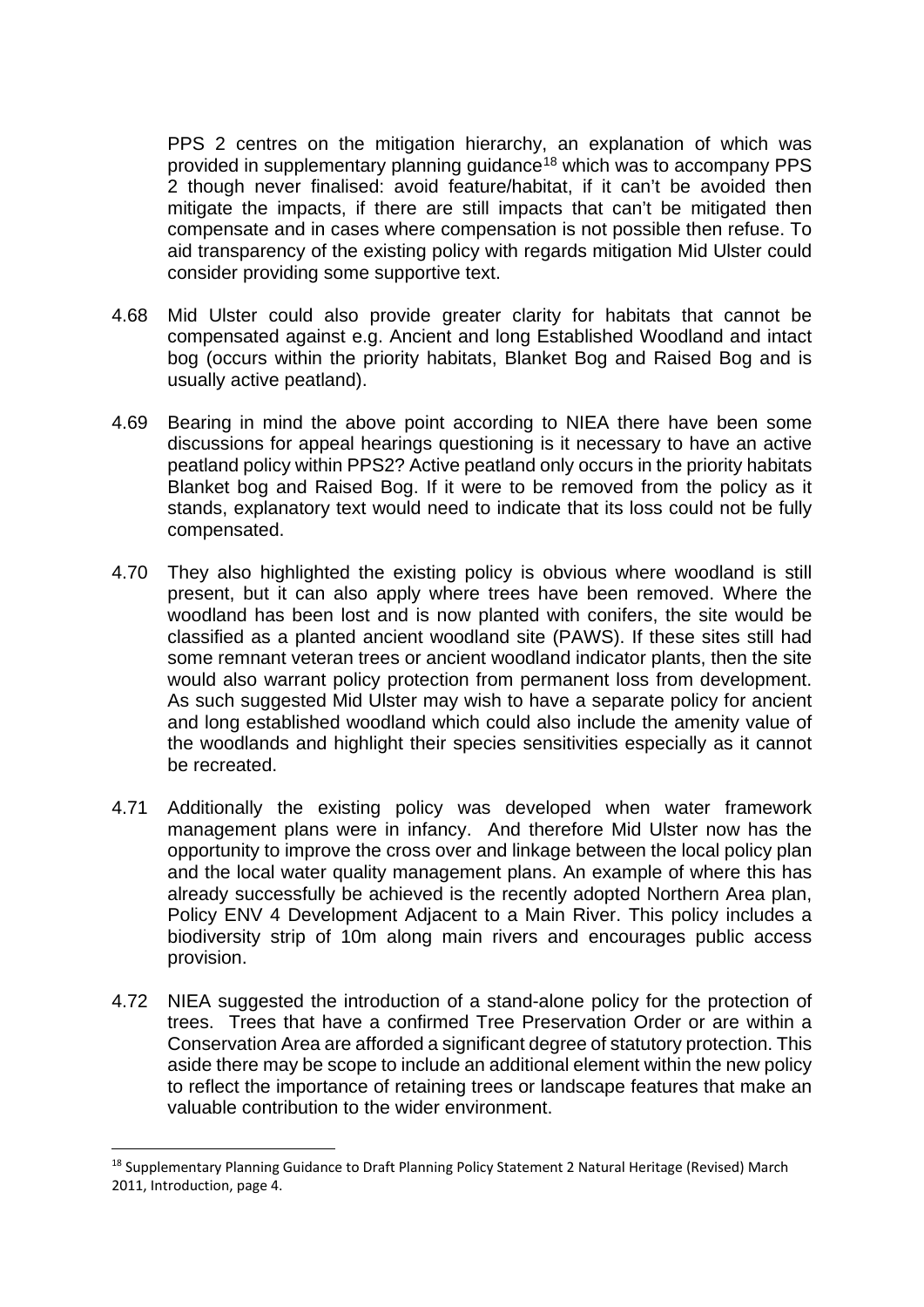PPS 2 centres on the mitigation hierarchy, an explanation of which was provided in supplementary planning guidance<sup>[18](#page-19-0)</sup> which was to accompany PPS 2 though never finalised: avoid feature/habitat, if it can't be avoided then mitigate the impacts, if there are still impacts that can't be mitigated then compensate and in cases where compensation is not possible then refuse. To aid transparency of the existing policy with regards mitigation Mid Ulster could consider providing some supportive text.

- 4.68 Mid Ulster could also provide greater clarity for habitats that cannot be compensated against e.g. Ancient and long Established Woodland and intact bog (occurs within the priority habitats, Blanket Bog and Raised Bog and is usually active peatland).
- 4.69 Bearing in mind the above point according to NIEA there have been some discussions for appeal hearings questioning is it necessary to have an active peatland policy within PPS2? Active peatland only occurs in the priority habitats Blanket bog and Raised Bog. If it were to be removed from the policy as it stands, explanatory text would need to indicate that its loss could not be fully compensated.
- 4.70 They also highlighted the existing policy is obvious where woodland is still present, but it can also apply where trees have been removed. Where the woodland has been lost and is now planted with conifers, the site would be classified as a planted ancient woodland site (PAWS). If these sites still had some remnant veteran trees or ancient woodland indicator plants, then the site would also warrant policy protection from permanent loss from development. As such suggested Mid Ulster may wish to have a separate policy for ancient and long established woodland which could also include the amenity value of the woodlands and highlight their species sensitivities especially as it cannot be recreated.
- 4.71 Additionally the existing policy was developed when water framework management plans were in infancy. And therefore Mid Ulster now has the opportunity to improve the cross over and linkage between the local policy plan and the local water quality management plans. An example of where this has already successfully be achieved is the recently adopted Northern Area plan, Policy ENV 4 Development Adjacent to a Main River. This policy includes a biodiversity strip of 10m along main rivers and encourages public access provision.
- 4.72 NIEA suggested the introduction of a stand-alone policy for the protection of trees. Trees that have a confirmed Tree Preservation Order or are within a Conservation Area are afforded a significant degree of statutory protection. This aside there may be scope to include an additional element within the new policy to reflect the importance of retaining trees or landscape features that make an valuable contribution to the wider environment.

<span id="page-19-0"></span><sup>&</sup>lt;sup>18</sup> Supplementary Planning Guidance to Draft Planning Policy Statement 2 Natural Heritage (Revised) March 2011, Introduction, page 4.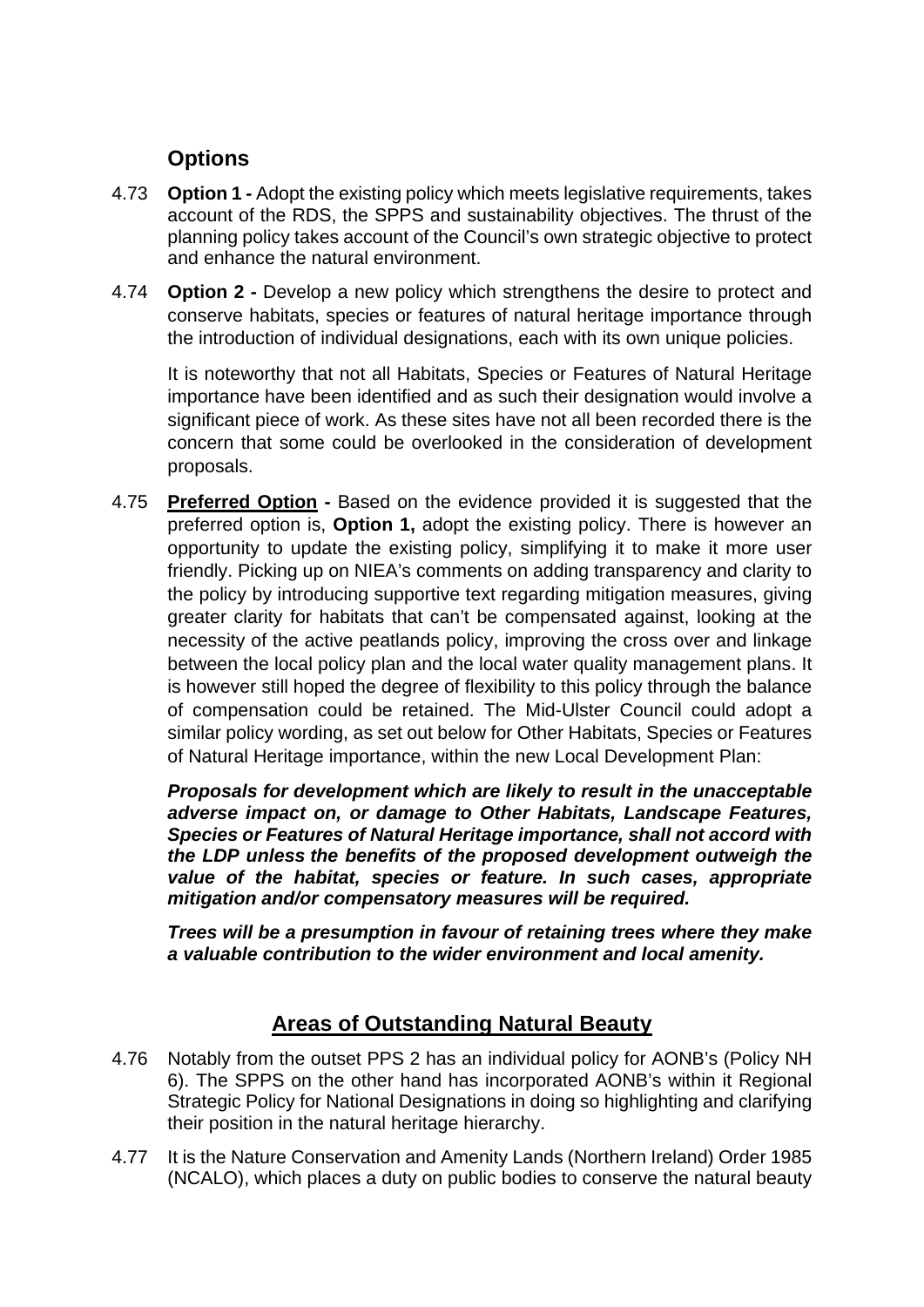# **Options**

- 4.73 **Option 1** *-* Adopt the existing policy which meets legislative requirements, takes account of the RDS, the SPPS and sustainability objectives. The thrust of the planning policy takes account of the Council's own strategic objective to protect and enhance the natural environment.
- 4.74 **Option 2** *-* Develop a new policy which strengthens the desire to protect and conserve habitats, species or features of natural heritage importance through the introduction of individual designations, each with its own unique policies.

It is noteworthy that not all Habitats, Species or Features of Natural Heritage importance have been identified and as such their designation would involve a significant piece of work. As these sites have not all been recorded there is the concern that some could be overlooked in the consideration of development proposals.

4.75 **Preferred Option -** Based on the evidence provided it is suggested that the preferred option is, **Option 1,** adopt the existing policy. There is however an opportunity to update the existing policy, simplifying it to make it more user friendly. Picking up on NIEA's comments on adding transparency and clarity to the policy by introducing supportive text regarding mitigation measures, giving greater clarity for habitats that can't be compensated against, looking at the necessity of the active peatlands policy, improving the cross over and linkage between the local policy plan and the local water quality management plans. It is however still hoped the degree of flexibility to this policy through the balance of compensation could be retained. The Mid-Ulster Council could adopt a similar policy wording, as set out below for Other Habitats, Species or Features of Natural Heritage importance, within the new Local Development Plan:

*Proposals for development which are likely to result in the unacceptable adverse impact on, or damage to Other Habitats, Landscape Features, Species or Features of Natural Heritage importance, shall not accord with the LDP unless the benefits of the proposed development outweigh the value of the habitat, species or feature. In such cases, appropriate mitigation and/or compensatory measures will be required.*

*Trees will be a presumption in favour of retaining trees where they make a valuable contribution to the wider environment and local amenity.* 

# **Areas of Outstanding Natural Beauty**

- 4.76 Notably from the outset PPS 2 has an individual policy for AONB's (Policy NH 6). The SPPS on the other hand has incorporated AONB's within it Regional Strategic Policy for National Designations in doing so highlighting and clarifying their position in the natural heritage hierarchy.
- 4.77 It is the Nature Conservation and Amenity Lands (Northern Ireland) Order 1985 (NCALO), which places a duty on public bodies to conserve the natural beauty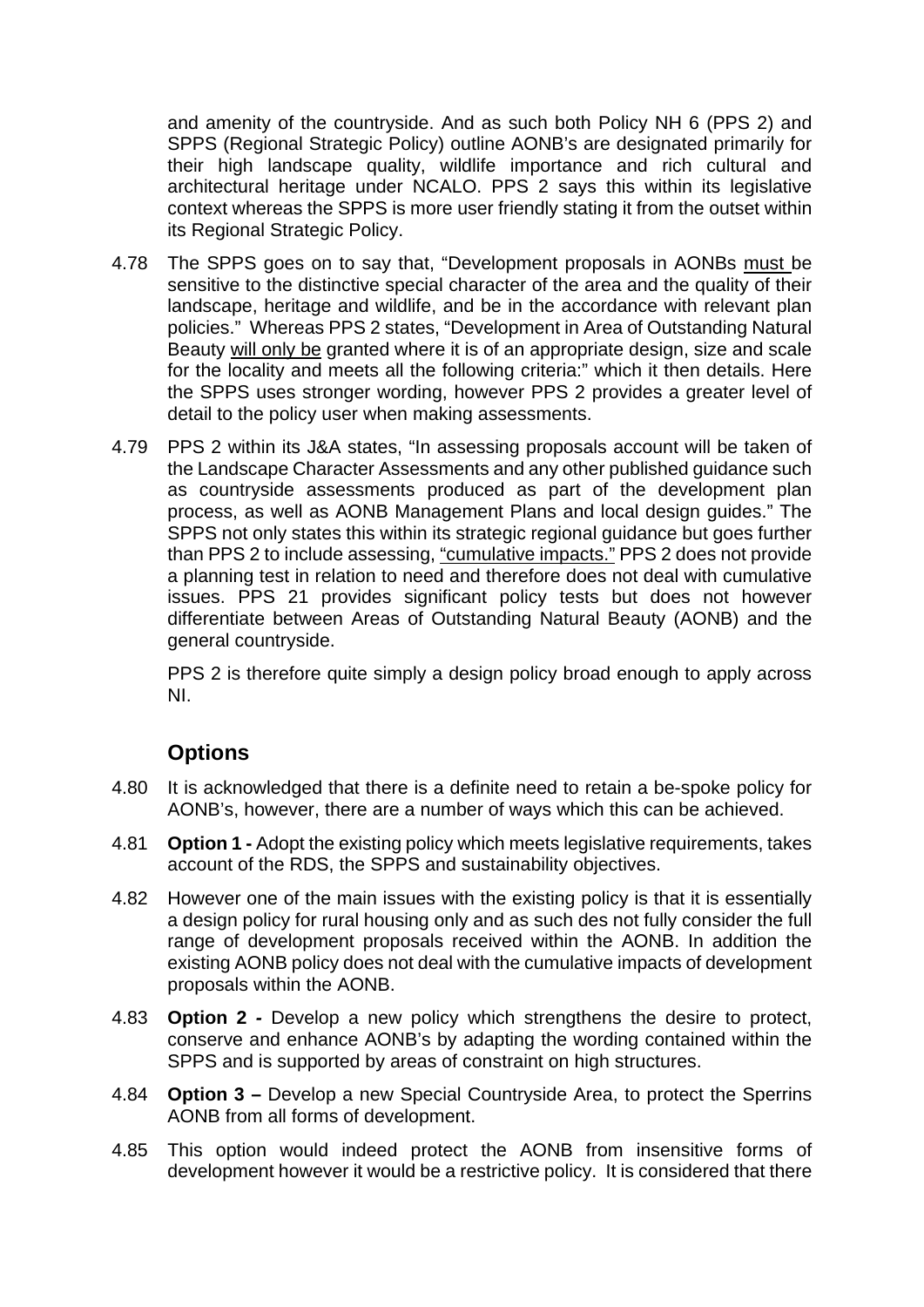and amenity of the countryside. And as such both Policy NH 6 (PPS 2) and SPPS (Regional Strategic Policy) outline AONB's are designated primarily for their high landscape quality, wildlife importance and rich cultural and architectural heritage under NCALO. PPS 2 says this within its legislative context whereas the SPPS is more user friendly stating it from the outset within its Regional Strategic Policy.

- 4.78 The SPPS goes on to say that, "Development proposals in AONBs must be sensitive to the distinctive special character of the area and the quality of their landscape, heritage and wildlife, and be in the accordance with relevant plan policies." Whereas PPS 2 states, "Development in Area of Outstanding Natural Beauty will only be granted where it is of an appropriate design, size and scale for the locality and meets all the following criteria:" which it then details. Here the SPPS uses stronger wording, however PPS 2 provides a greater level of detail to the policy user when making assessments.
- 4.79 PPS 2 within its J&A states, "In assessing proposals account will be taken of the Landscape Character Assessments and any other published guidance such as countryside assessments produced as part of the development plan process, as well as AONB Management Plans and local design guides." The SPPS not only states this within its strategic regional guidance but goes further than PPS 2 to include assessing, "cumulative impacts." PPS 2 does not provide a planning test in relation to need and therefore does not deal with cumulative issues. PPS 21 provides significant policy tests but does not however differentiate between Areas of Outstanding Natural Beauty (AONB) and the general countryside.

PPS 2 is therefore quite simply a design policy broad enough to apply across NI.

### **Options**

- 4.80 It is acknowledged that there is a definite need to retain a be-spoke policy for AONB's, however, there are a number of ways which this can be achieved.
- 4.81 **Option 1 -** Adopt the existing policy which meets legislative requirements, takes account of the RDS, the SPPS and sustainability objectives.
- 4.82 However one of the main issues with the existing policy is that it is essentially a design policy for rural housing only and as such des not fully consider the full range of development proposals received within the AONB. In addition the existing AONB policy does not deal with the cumulative impacts of development proposals within the AONB.
- 4.83 **Option 2** *-* Develop a new policy which strengthens the desire to protect, conserve and enhance AONB's by adapting the wording contained within the SPPS and is supported by areas of constraint on high structures.
- 4.84 **Option 3 –** Develop a new Special Countryside Area, to protect the Sperrins AONB from all forms of development.
- 4.85 This option would indeed protect the AONB from insensitive forms of development however it would be a restrictive policy. It is considered that there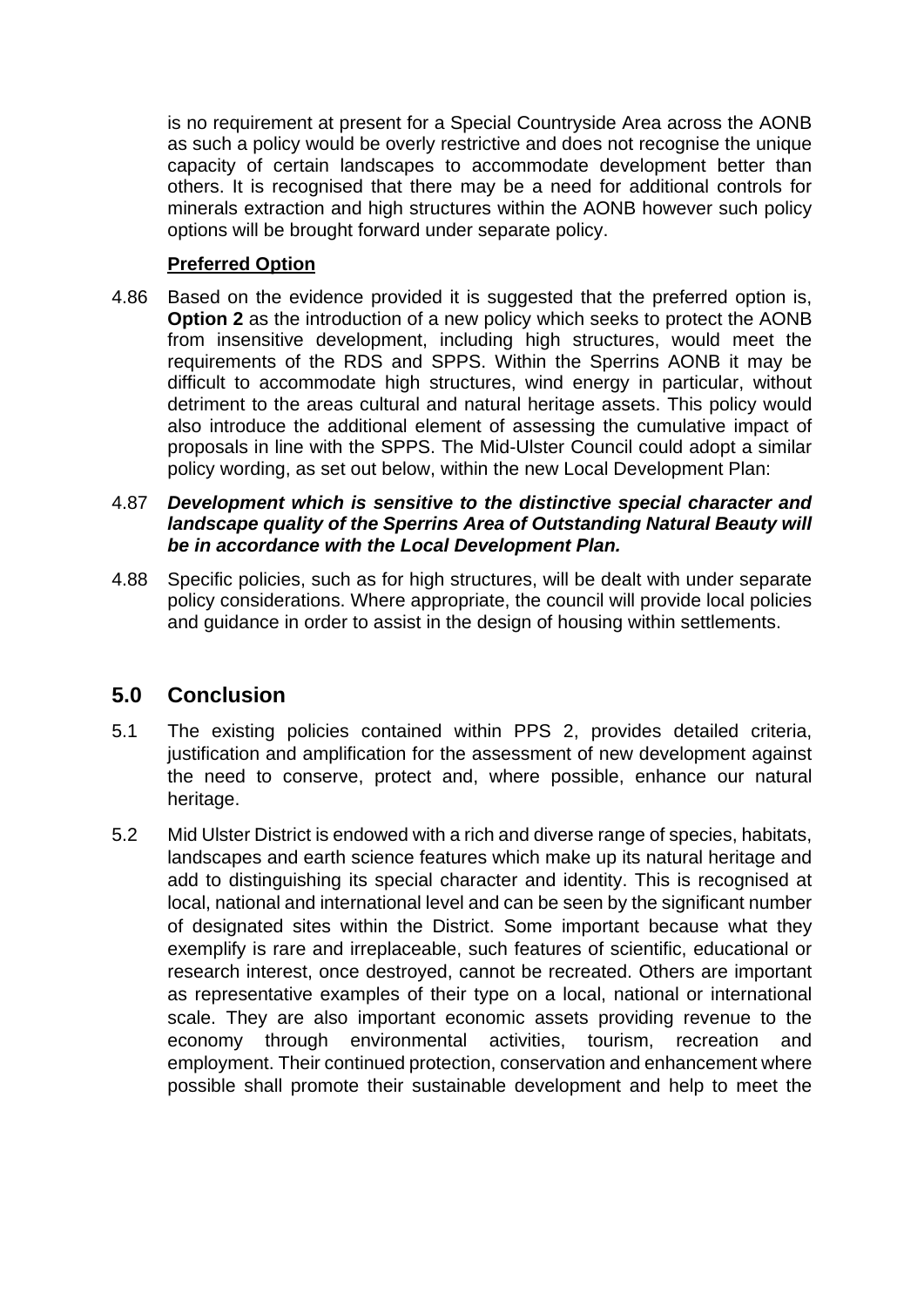is no requirement at present for a Special Countryside Area across the AONB as such a policy would be overly restrictive and does not recognise the unique capacity of certain landscapes to accommodate development better than others. It is recognised that there may be a need for additional controls for minerals extraction and high structures within the AONB however such policy options will be brought forward under separate policy.

#### **Preferred Option**

4.86 Based on the evidence provided it is suggested that the preferred option is, **Option 2** as the introduction of a new policy which seeks to protect the AONB from insensitive development, including high structures, would meet the requirements of the RDS and SPPS. Within the Sperrins AONB it may be difficult to accommodate high structures, wind energy in particular, without detriment to the areas cultural and natural heritage assets. This policy would also introduce the additional element of assessing the cumulative impact of proposals in line with the SPPS. The Mid-Ulster Council could adopt a similar policy wording, as set out below, within the new Local Development Plan:

#### 4.87 *Development which is sensitive to the distinctive special character and landscape quality of the Sperrins Area of Outstanding Natural Beauty will be in accordance with the Local Development Plan.*

4.88 Specific policies, such as for high structures, will be dealt with under separate policy considerations. Where appropriate, the council will provide local policies and guidance in order to assist in the design of housing within settlements.

### **5.0 Conclusion**

- 5.1 The existing policies contained within PPS 2, provides detailed criteria, justification and amplification for the assessment of new development against the need to conserve, protect and, where possible, enhance our natural heritage.
- 5.2 Mid Ulster District is endowed with a rich and diverse range of species, habitats, landscapes and earth science features which make up its natural heritage and add to distinguishing its special character and identity. This is recognised at local, national and international level and can be seen by the significant number of designated sites within the District. Some important because what they exemplify is rare and irreplaceable, such features of scientific, educational or research interest, once destroyed, cannot be recreated. Others are important as representative examples of their type on a local, national or international scale. They are also important economic assets providing revenue to the economy through environmental activities, tourism, recreation and employment. Their continued protection, conservation and enhancement where possible shall promote their sustainable development and help to meet the